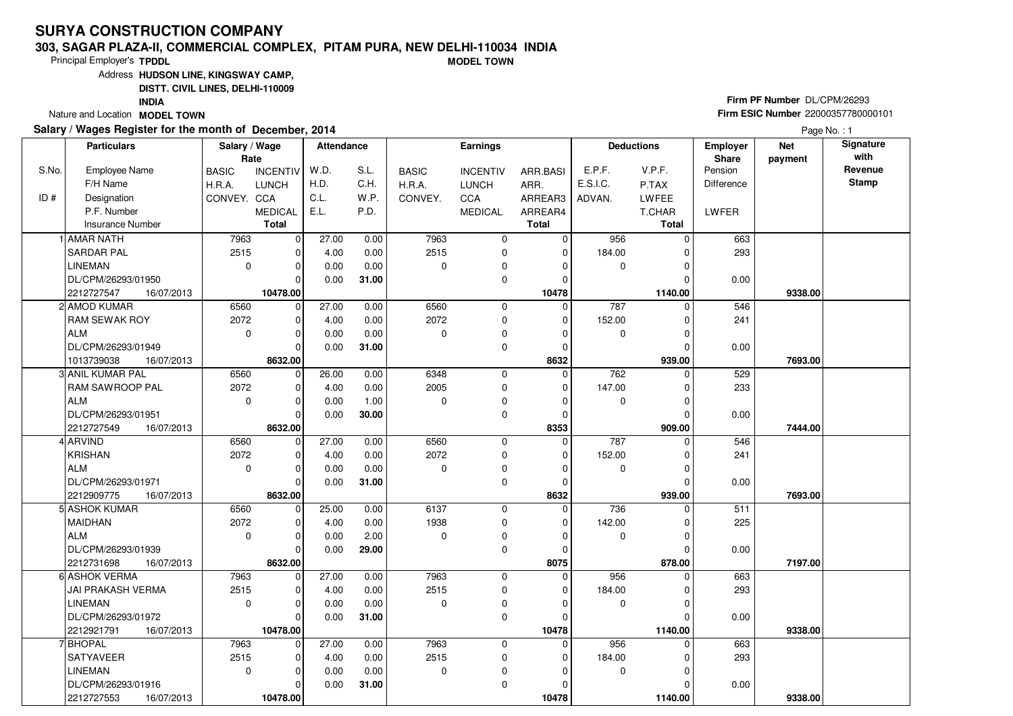#### **303, SAGAR PLAZA-II, COMMERCIAL COMPLEX, PITAM PURA, NEW DELHI-110034 INDIAMODEL TOWN**

Principal Employer's**TPDDL**

Address**HUDSON LINE, KINGSWAY CAMP,**

**DISTT. CIVIL LINES, DELHI-110009**

**INDIA**

Nature and Location **MODEL TOWN** 

### **Salary / Wages Register for the month of December, 2014**

# **Firm PF Number** DL/CPM/26293 **Firm ESIC Number** <sup>22000357780000101</sup>

|       | <b>Particulars</b>       | Salary / Wage | Rate            | <b>Attendance</b> |       |              | <b>Earnings</b> |              |             | <b>Deductions</b> | Employer<br>Share | <b>Net</b><br>payment | Signature<br>with |
|-------|--------------------------|---------------|-----------------|-------------------|-------|--------------|-----------------|--------------|-------------|-------------------|-------------------|-----------------------|-------------------|
| S.No. | <b>Employee Name</b>     | <b>BASIC</b>  | <b>INCENTIV</b> | W.D.              | S.L.  | <b>BASIC</b> | <b>INCENTIV</b> | ARR.BASI     | E.P.F.      | V.P.F.            | Pension           |                       | Revenue           |
|       | F/H Name                 | H.R.A.        | <b>LUNCH</b>    | H.D.              | C.H.  | H.R.A.       | <b>LUNCH</b>    | ARR.         | E.S.I.C.    | P.TAX             | Difference        |                       | Stamp             |
| ID#   | Designation              | CONVEY. CCA   |                 | C.L.              | W.P.  | CONVEY.      | <b>CCA</b>      | ARREAR3      | ADVAN.      | LWFEE             |                   |                       |                   |
|       | P.F. Number              |               | <b>MEDICAL</b>  | E.L.              | P.D.  |              | <b>MEDICAL</b>  | ARREAR4      |             | T.CHAR            | <b>LWFER</b>      |                       |                   |
|       | <b>Insurance Number</b>  |               | <b>Total</b>    |                   |       |              |                 | <b>Total</b> |             | <b>Total</b>      |                   |                       |                   |
|       | 1 AMAR NATH              | 7963          | $\overline{0}$  | 27.00             | 0.00  | 7963         | $\mathbf 0$     | $\mathbf 0$  | 956         | $\Omega$          | 663               |                       |                   |
|       | <b>SARDAR PAL</b>        | 2515          | $\mathbf 0$     | 4.00              | 0.00  | 2515         | $\mathbf 0$     | $\mathbf 0$  | 184.00      |                   | 293               |                       |                   |
|       | <b>LINEMAN</b>           | $\mathbf 0$   | $\mathbf 0$     | 0.00              | 0.00  | $\Omega$     | 0               | $\Omega$     | 0           |                   |                   |                       |                   |
|       | DL/CPM/26293/01950       |               | $\Omega$        | 0.00              | 31.00 |              | $\mathbf 0$     | $\Omega$     |             |                   | 0.00              |                       |                   |
|       | 2212727547<br>16/07/2013 |               | 10478.00        |                   |       |              |                 | 10478        |             | 1140.00           |                   | 9338.00               |                   |
|       | 2 AMOD KUMAR             | 6560          | 0               | 27.00             | 0.00  | 6560         | 0               | 0            | 787         | $\Omega$          | 546               |                       |                   |
|       | <b>RAM SEWAK ROY</b>     | 2072          | $\mathbf 0$     | 4.00              | 0.00  | 2072         | $\mathbf 0$     | 0            | 152.00      |                   | 241               |                       |                   |
|       | <b>ALM</b>               | $\mathbf 0$   | $\mathbf 0$     | 0.00              | 0.00  | $\Omega$     | 0               | $\Omega$     | 0           |                   |                   |                       |                   |
|       | DL/CPM/26293/01949       |               | $\Omega$        | 0.00              | 31.00 |              | $\mathbf 0$     | $\mathbf 0$  |             |                   | 0.00              |                       |                   |
|       | 1013739038<br>16/07/2013 |               | 8632.00         |                   |       |              |                 | 8632         |             | 939.00            |                   | 7693.00               |                   |
|       | 3 ANIL KUMAR PAL         | 6560          | $\mathbf 0$     | 26.00             | 0.00  | 6348         | 0               | 0            | 762         | $\Omega$          | 529               |                       |                   |
|       | <b>RAM SAWROOP PAL</b>   | 2072          | $\Omega$        | 4.00              | 0.00  | 2005         | $\mathbf 0$     | $\Omega$     | 147.00      |                   | 233               |                       |                   |
|       | ALM                      | $\mathbf 0$   | $\mathbf 0$     | 0.00              | 1.00  | $\Omega$     | 0               | 0            | 0           | $\Omega$          |                   |                       |                   |
|       | DL/CPM/26293/01951       |               | $\mathbf 0$     | 0.00              | 30.00 |              | $\mathbf 0$     | $\Omega$     |             |                   | 0.00              |                       |                   |
|       | 2212727549<br>16/07/2013 |               | 8632.00         |                   |       |              |                 | 8353         |             | 909.00            |                   | 7444.00               |                   |
|       | 4 ARVIND                 | 6560          | $\mathbf 0$     | 27.00             | 0.00  | 6560         | $\mathbf 0$     | $\mathbf 0$  | 787         | $\Omega$          | 546               |                       |                   |
|       | KRISHAN                  | 2072          | $\Omega$        | 4.00              | 0.00  | 2072         | $\mathbf 0$     | $\Omega$     | 152.00      |                   | 241               |                       |                   |
|       | ALM                      | $\mathbf 0$   | $\Omega$        | 0.00              | 0.00  | $\Omega$     | $\pmb{0}$       | $\Omega$     | 0           |                   |                   |                       |                   |
|       | DL/CPM/26293/01971       |               | $\Omega$        | 0.00              | 31.00 |              | $\mathbf 0$     | $\mathbf 0$  |             |                   | 0.00              |                       |                   |
|       | 2212909775<br>16/07/2013 |               | 8632.00         |                   |       |              |                 | 8632         |             | 939.00            |                   | 7693.00               |                   |
|       | 5 ASHOK KUMAR            | 6560          | $\mathbf 0$     | 25.00             | 0.00  | 6137         | $\mathbf 0$     | $\mathbf 0$  | 736         |                   | 511               |                       |                   |
|       | <b>MAIDHAN</b>           | 2072          | $\Omega$        | 4.00              | 0.00  | 1938         | $\mathbf 0$     | $\Omega$     | 142.00      |                   | 225               |                       |                   |
|       | l ALM                    | $\Omega$      | $\mathbf 0$     | 0.00              | 2.00  | $\Omega$     | $\mathbf 0$     | $\Omega$     | $\mathbf 0$ | O                 |                   |                       |                   |
|       | DL/CPM/26293/01939       |               | $\mathbf 0$     | 0.00              | 29.00 |              | 0               | 0            |             |                   | 0.00              |                       |                   |
|       | 2212731698<br>16/07/2013 |               | 8632.00         |                   |       |              |                 | 8075         |             | 878.00            |                   | 7197.00               |                   |
|       | 6 ASHOK VERMA            | 7963          | 0               | 27.00             | 0.00  | 7963         | $\mathbf 0$     | $\mathbf 0$  | 956         | <sup>0</sup>      | 663               |                       |                   |
|       | <b>JAI PRAKASH VERMA</b> | 2515          | $\mathbf 0$     | 4.00              | 0.00  | 2515         | 0               | $\Omega$     | 184.00      |                   | 293               |                       |                   |
|       | <b>LINEMAN</b>           | $\Omega$      | $\Omega$        | 0.00              | 0.00  | $\Omega$     | 0               | $\Omega$     | 0           |                   |                   |                       |                   |
|       | DL/CPM/26293/01972       |               | $\Omega$        | 0.00              | 31.00 |              | 0               | $\Omega$     |             |                   | 0.00              |                       |                   |
|       | 2212921791<br>16/07/2013 |               | 10478.00        |                   |       |              |                 | 10478        |             | 1140.00           |                   | 9338.00               |                   |
|       | 7 BHOPAL                 | 7963          | $\mathbf 0$     | 27.00             | 0.00  | 7963         | $\mathbf 0$     | 0            | 956         | 0                 | 663               |                       |                   |
|       | <b>SATYAVEER</b>         | 2515          | $\mathbf 0$     | 4.00              | 0.00  | 2515         | $\mathbf 0$     | 0            | 184.00      |                   | 293               |                       |                   |
|       | <b>LINEMAN</b>           | $\mathbf 0$   | $\mathbf 0$     | 0.00              | 0.00  | 0            | 0               | $\Omega$     | 0           | U                 |                   |                       |                   |
|       | DL/CPM/26293/01916       |               | $\Omega$        | 0.00              | 31.00 |              | $\mathbf 0$     | $\Omega$     |             |                   | 0.00              |                       |                   |
|       | 2212727553<br>16/07/2013 |               | 10478.00        |                   |       |              |                 | 10478        |             | 1140.00           |                   | 9338.00               |                   |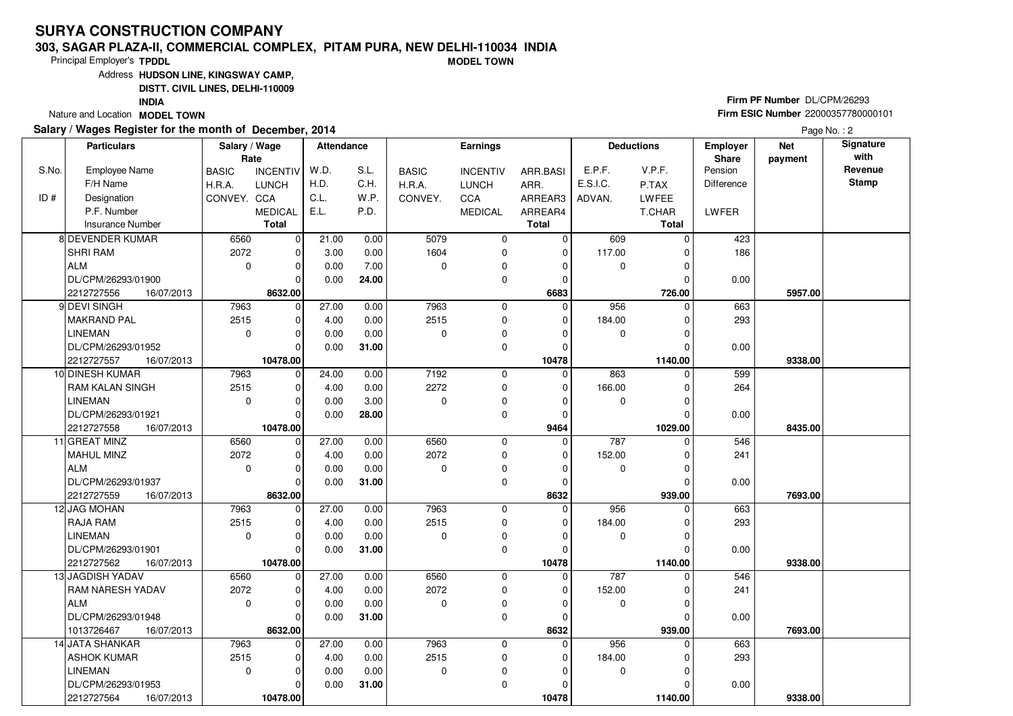#### **303, SAGAR PLAZA-II, COMMERCIAL COMPLEX, PITAM PURA, NEW DELHI-110034 INDIAMODEL TOWN**

Principal Employer's**TPDDL**

Address**HUDSON LINE, KINGSWAY CAMP,**

**DISTT. CIVIL LINES, DELHI-110009**

**INDIA**

Nature and Location **MODEL TOWN** 

### **Salary / Wages Register for the month of December, 2014**

# **Firm PF Number** DL/CPM/26293 **Firm ESIC Number** <sup>22000357780000101</sup>

|       | <b>Particulars</b>       | Salary / Wage<br>Rate |                 | <b>Attendance</b> |       |              | <b>Earnings</b> |              |             | <b>Deductions</b> | Employer<br>Share | <b>Net</b><br>payment | Signature<br>with |
|-------|--------------------------|-----------------------|-----------------|-------------------|-------|--------------|-----------------|--------------|-------------|-------------------|-------------------|-----------------------|-------------------|
| S.No. | <b>Employee Name</b>     | <b>BASIC</b>          | <b>INCENTIV</b> | W.D.              | S.L.  | <b>BASIC</b> | <b>INCENTIV</b> | ARR.BASI     | E.P.F.      | V.P.F.            | Pension           |                       | Revenue           |
|       | F/H Name                 | H.R.A.                | <b>LUNCH</b>    | H.D.              | C.H.  | H.R.A.       | <b>LUNCH</b>    | ARR.         | E.S.I.C.    | P.TAX             | Difference        |                       | Stamp             |
| ID#   | Designation              | CONVEY. CCA           |                 | C.L.              | W.P.  | CONVEY.      | <b>CCA</b>      | ARREAR3      | ADVAN.      | LWFEE             |                   |                       |                   |
|       | P.F. Number              |                       | <b>MEDICAL</b>  | E.L.              | P.D.  |              | <b>MEDICAL</b>  | ARREAR4      |             | T.CHAR            | LWFER             |                       |                   |
|       | <b>Insurance Number</b>  |                       | <b>Total</b>    |                   |       |              |                 | <b>Total</b> |             | <b>Total</b>      |                   |                       |                   |
|       | 8 DEVENDER KUMAR         | 6560                  | $\overline{0}$  | 21.00             | 0.00  | 5079         | $\mathbf 0$     | $\mathbf 0$  | 609         | $\Omega$          | 423               |                       |                   |
|       | <b>SHRI RAM</b>          | 2072                  | $\mathbf 0$     | 3.00              | 0.00  | 1604         | $\mathbf 0$     | $\mathbf 0$  | 117.00      |                   | 186               |                       |                   |
|       | ALM                      | $\mathbf 0$           | $\mathbf 0$     | 0.00              | 7.00  | $\Omega$     | 0               | $\Omega$     | $\mathbf 0$ | $\Omega$          |                   |                       |                   |
|       | DL/CPM/26293/01900       |                       | $\Omega$        | 0.00              | 24.00 |              | $\mathbf 0$     | $\Omega$     |             |                   | 0.00              |                       |                   |
|       | 2212727556<br>16/07/2013 |                       | 8632.00         |                   |       |              |                 | 6683         |             | 726.00            |                   | 5957.00               |                   |
|       | 9 DEVI SINGH             | 7963                  | 0               | 27.00             | 0.00  | 7963         | 0               | $\Omega$     | 956         | $\Omega$          | 663               |                       |                   |
|       | <b>MAKRAND PAL</b>       | 2515                  | $\mathbf 0$     | 4.00              | 0.00  | 2515         | $\mathbf 0$     | $\Omega$     | 184.00      |                   | 293               |                       |                   |
|       | <b>LINEMAN</b>           | $\mathbf 0$           | $\mathbf 0$     | 0.00              | 0.00  | $\Omega$     | 0               | $\Omega$     | 0           |                   |                   |                       |                   |
|       | DL/CPM/26293/01952       |                       | $\Omega$        | 0.00              | 31.00 |              | $\mathbf 0$     | $\Omega$     |             |                   | 0.00              |                       |                   |
|       | 2212727557<br>16/07/2013 |                       | 10478.00        |                   |       |              |                 | 10478        |             | 1140.00           |                   | 9338.00               |                   |
|       | 10 DINESH KUMAR          | 7963                  | $\mathbf 0$     | 24.00             | 0.00  | 7192         | $\mathbf 0$     | $\mathbf 0$  | 863         |                   | 599               |                       |                   |
|       | <b>RAM KALAN SINGH</b>   | 2515                  | $\Omega$        | 4.00              | 0.00  | 2272         | $\mathbf 0$     | $\Omega$     | 166.00      |                   | 264               |                       |                   |
|       | <b>LINEMAN</b>           | $\mathbf 0$           | $\Omega$        | 0.00              | 3.00  | $\Omega$     | 0               | 0            | 0           | $\Omega$          |                   |                       |                   |
|       | DL/CPM/26293/01921       |                       | $\Omega$        | 0.00              | 28.00 |              | $\mathbf 0$     | $\mathbf 0$  |             |                   | 0.00              |                       |                   |
|       | 2212727558<br>16/07/2013 |                       | 10478.00        |                   |       |              |                 | 9464         |             | 1029.00           |                   | 8435.00               |                   |
|       | 11 GREAT MINZ            | 6560                  | $\mathbf 0$     | 27.00             | 0.00  | 6560         | $\mathbf 0$     | $\mathbf 0$  | 787         | $\Omega$          | 546               |                       |                   |
|       | MAHUL MINZ               | 2072                  | $\Omega$        | 4.00              | 0.00  | 2072         | $\mathbf 0$     | $\Omega$     | 152.00      |                   | 241               |                       |                   |
|       | ALM                      | $\mathbf 0$           | $\Omega$        | 0.00              | 0.00  | $\Omega$     | $\pmb{0}$       | $\Omega$     | 0           |                   |                   |                       |                   |
|       | DL/CPM/26293/01937       |                       | $\Omega$        | 0.00              | 31.00 |              | $\mathbf 0$     | $\Omega$     |             |                   | 0.00              |                       |                   |
|       | 2212727559<br>16/07/2013 |                       | 8632.00         |                   |       |              |                 | 8632         |             | 939.00            |                   | 7693.00               |                   |
|       | 12 JAG MOHAN             | 7963                  | $\mathbf 0$     | 27.00             | 0.00  | 7963         | $\mathbf 0$     | $\Omega$     | 956         |                   | 663               |                       |                   |
|       | <b>RAJA RAM</b>          | 2515                  | $\Omega$        | 4.00              | 0.00  | 2515         | $\mathbf 0$     | $\Omega$     | 184.00      |                   | 293               |                       |                   |
|       | LINEMAN                  | $\Omega$              | $\mathbf 0$     | 0.00              | 0.00  | $\Omega$     | $\mathbf 0$     | $\Omega$     | $\mathbf 0$ | U                 |                   |                       |                   |
|       | DL/CPM/26293/01901       |                       | $\mathbf 0$     | 0.00              | 31.00 |              | 0               | $\Omega$     |             |                   | 0.00              |                       |                   |
|       | 2212727562<br>16/07/2013 |                       | 10478.00        |                   |       |              |                 | 10478        |             | 1140.00           |                   | 9338.00               |                   |
|       | 13 JAGDISH YADAV         | 6560                  | 0               | 27.00             | 0.00  | 6560         | $\mathbf 0$     | $\mathbf 0$  | 787         | 0                 | 546               |                       |                   |
|       | RAM NARESH YADAV         | 2072                  | $\mathbf 0$     | 4.00              | 0.00  | 2072         | 0               | $\Omega$     | 152.00      | $\Omega$          | 241               |                       |                   |
|       | <b>ALM</b>               | $\Omega$              | $\Omega$        | 0.00              | 0.00  | $\Omega$     | 0               | $\Omega$     | 0           |                   |                   |                       |                   |
|       | DL/CPM/26293/01948       |                       | $\Omega$        | 0.00              | 31.00 |              | 0               | $\Omega$     |             |                   | 0.00              |                       |                   |
|       | 1013726467<br>16/07/2013 |                       | 8632.00         |                   |       |              |                 | 8632         |             | 939.00            |                   | 7693.00               |                   |
|       | 14 JATA SHANKAR          | 7963                  | $\mathbf 0$     | 27.00             | 0.00  | 7963         | $\mathbf 0$     | 0            | 956         | 0                 | 663               |                       |                   |
|       | ASHOK KUMAR              | 2515                  | $\mathbf 0$     | 4.00              | 0.00  | 2515         | $\mathbf 0$     | $\Omega$     | 184.00      |                   | 293               |                       |                   |
|       | <b>LINEMAN</b>           | $\mathbf 0$           | $\mathbf 0$     | 0.00              | 0.00  | $\mathbf 0$  | 0               | $\Omega$     | 0           | U                 |                   |                       |                   |
|       | DL/CPM/26293/01953       |                       | $\Omega$        | 0.00              | 31.00 |              | $\mathbf 0$     | $\Omega$     |             |                   | 0.00              |                       |                   |
|       | 2212727564<br>16/07/2013 |                       | 10478.00        |                   |       |              |                 | 10478        |             | 1140.00           |                   | 9338.00               |                   |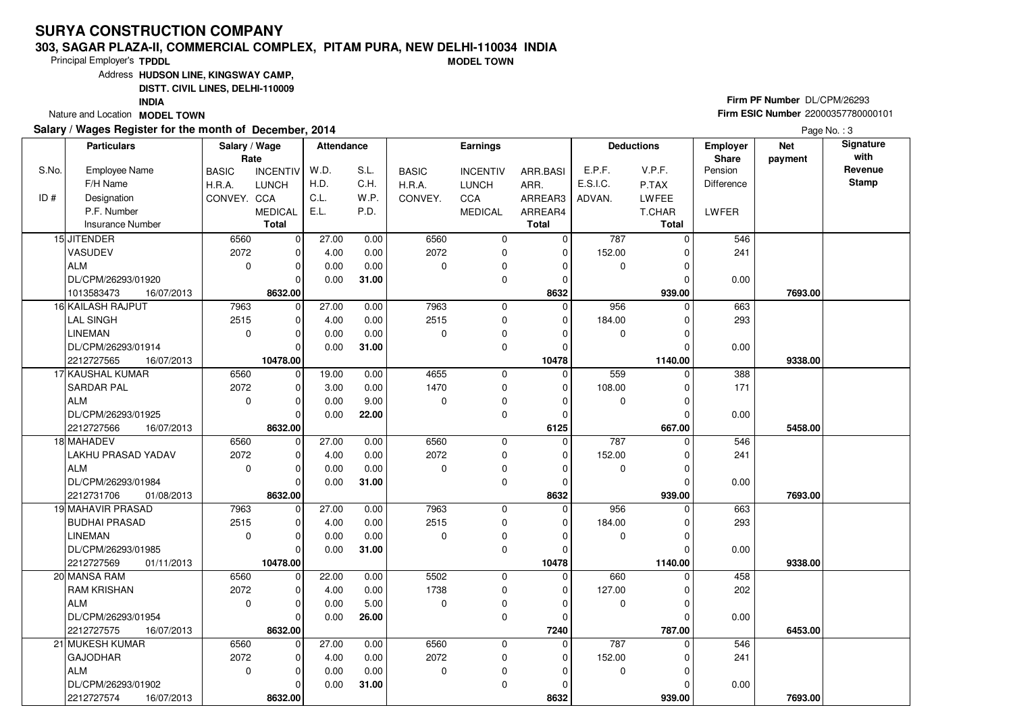#### **303, SAGAR PLAZA-II, COMMERCIAL COMPLEX, PITAM PURA, NEW DELHI-110034 INDIAMODEL TOWN**

Principal Employer's**TPDDL**

Address**HUDSON LINE, KINGSWAY CAMP,**

**DISTT. CIVIL LINES, DELHI-110009**

**INDIA**

Nature and Location **MODEL TOWN** 

#### **Salary / Wages Register for the month of December, 2014**

# **Firm PF Number** DL/CPM/26293 **Firm ESIC Number** <sup>22000357780000101</sup>

|       | <b>Particulars</b>                       | Salary / Wage | Rate                    | <b>Attendance</b> |              |              | <b>Earnings</b> |                      |             | <b>Deductions</b> | Employer<br>Share | <b>Net</b><br>payment | Signature<br>with |
|-------|------------------------------------------|---------------|-------------------------|-------------------|--------------|--------------|-----------------|----------------------|-------------|-------------------|-------------------|-----------------------|-------------------|
| S.No. | <b>Employee Name</b>                     | <b>BASIC</b>  | <b>INCENTIV</b>         | W.D.              | S.L.         | <b>BASIC</b> | <b>INCENTIV</b> | ARR.BASI             | E.P.F.      | V.P.F.            | Pension           |                       | Revenue           |
|       | F/H Name                                 | H.R.A.        | <b>LUNCH</b>            | H.D.              | C.H.         | H.R.A.       | <b>LUNCH</b>    | ARR.                 | E.S.I.C.    | P.TAX             | <b>Difference</b> |                       | <b>Stamp</b>      |
| ID#   | Designation                              | CONVEY. CCA   |                         | C.L.              | W.P.         | CONVEY.      | <b>CCA</b>      | ARREAR3              | ADVAN.      | <b>LWFEE</b>      |                   |                       |                   |
|       | P.F. Number                              |               | <b>MEDICAL</b>          | E.L.              | P.D.         |              | <b>MEDICAL</b>  | ARREAR4              |             | T.CHAR            | LWFER             |                       |                   |
|       | <b>Insurance Number</b>                  |               | <b>Total</b>            |                   |              |              |                 | <b>Total</b>         |             | <b>Total</b>      |                   |                       |                   |
|       | 15 JITENDER                              | 6560          | 0                       | 27.00             | 0.00         | 6560         | 0               | $\mathbf 0$          | 787         | $\Omega$          | 546               |                       |                   |
|       | VASUDEV                                  | 2072          | $\mathbf 0$             | 4.00              | 0.00         | 2072         | $\mathbf 0$     | $\mathbf 0$          | 152.00      |                   | 241               |                       |                   |
|       | ALM                                      | $\mathbf 0$   | $\mathbf 0$             | 0.00              | 0.00         | $\Omega$     | 0               | $\Omega$             | 0           | $\Omega$          |                   |                       |                   |
|       | DL/CPM/26293/01920                       |               | $\Omega$                | 0.00              | 31.00        |              | $\mathbf 0$     | $\mathbf 0$          |             | 0                 | 0.00              |                       |                   |
|       | 1013583473<br>16/07/2013                 |               | 8632.00                 |                   |              |              |                 | 8632                 |             | 939.00            |                   | 7693.00               |                   |
|       | 16 KAILASH RAJPUT                        | 7963          | 0                       | 27.00             | 0.00         | 7963         | 0               | $\mathbf 0$          | 956         | $\Omega$          | 663               |                       |                   |
|       | <b>LAL SINGH</b>                         | 2515          | $\mathbf 0$             | 4.00              | 0.00         | 2515         | $\mathbf 0$     | $\mathbf 0$          | 184.00      |                   | 293               |                       |                   |
|       | <b>LINEMAN</b>                           | $\mathbf 0$   | $\Omega$                | 0.00              | 0.00         | $\Omega$     | $\mathbf 0$     | 0                    | 0           |                   |                   |                       |                   |
|       | DL/CPM/26293/01914                       |               | $\Omega$                | 0.00              | 31.00        |              | $\Omega$        | $\Omega$             |             | $\Omega$          | 0.00              |                       |                   |
|       | 2212727565<br>16/07/2013                 |               | 10478.00                |                   |              |              |                 | 10478                |             | 1140.00           |                   | 9338.00               |                   |
|       | 17 KAUSHAL KUMAR                         | 6560          | $\mathbf 0$             | 19.00             | 0.00         | 4655         | 0               | $\mathbf 0$          | 559         | $\Omega$          | 388               |                       |                   |
|       | <b>SARDAR PAL</b>                        | 2072          | $\mathbf 0$             | 3.00              | 0.00         | 1470         | $\mathbf 0$     | $\mathbf 0$          | 108.00      | O                 | 171               |                       |                   |
|       | ALM                                      | $\mathbf 0$   | $\Omega$                | 0.00              | 9.00         | O            | 0               | $\Omega$             | 0           | O                 |                   |                       |                   |
|       | DL/CPM/26293/01925                       |               | $\Omega$                | 0.00              | 22.00        |              | $\mathbf 0$     | $\mathbf 0$          |             | 0                 | 0.00              |                       |                   |
|       | 2212727566<br>16/07/2013                 |               | 8632.00                 |                   |              |              |                 | 6125                 |             | 667.00            |                   | 5458.00               |                   |
|       | 18 MAHADEV                               | 6560          | 0                       | 27.00             | 0.00         | 6560         | $\overline{0}$  | $\Omega$             | 787         | $\Omega$          | 546               |                       |                   |
|       | LAKHU PRASAD YADAV                       | 2072          | $\mathbf 0$             | 4.00              | 0.00         | 2072         | $\mathbf 0$     | $\Omega$             | 152.00      |                   | 241               |                       |                   |
|       | ALM                                      | $\mathbf 0$   | $\mathbf 0$             | 0.00              | 0.00         | $\Omega$     | $\mathbf 0$     | $\Omega$             | 0           |                   |                   |                       |                   |
|       | DL/CPM/26293/01984                       |               | $\Omega$                | 0.00              | 31.00        |              | $\mathbf 0$     | $\mathbf 0$          |             |                   | 0.00              |                       |                   |
|       | 2212731706<br>01/08/2013                 |               | 8632.00                 |                   |              |              |                 | 8632                 |             | 939.00            |                   | 7693.00               |                   |
|       | 19 MAHAVIR PRASAD                        | 7963          | 0                       | 27.00             | 0.00         | 7963         | 0               | $\mathbf 0$          | 956         | 0                 | 663               |                       |                   |
|       | BUDHAI PRASAD                            | 2515          | $\mathbf 0$             | 4.00              | 0.00         | 2515         | 0               | 0                    | 184.00      |                   | 293               |                       |                   |
|       | <b>LINEMAN</b>                           | $\mathbf 0$   | $\mathbf 0$             | 0.00              | 0.00         | $\Omega$     | $\mathbf 0$     | $\Omega$             | $\mathbf 0$ | O                 |                   |                       |                   |
|       | DL/CPM/26293/01985                       |               | $\Omega$                | 0.00              | 31.00        |              | $\Omega$        | $\Omega$             |             |                   | 0.00              |                       |                   |
|       | 2212727569<br>01/11/2013<br>20 MANSA RAM | 6560          | 10478.00<br>$\mathbf 0$ | 22.00             |              | 5502         | 0               | 10478<br>$\mathbf 0$ | 660         | 1140.00<br>0      | 458               | 9338.00               |                   |
|       | <b>RAM KRISHAN</b>                       | 2072          | $\mathbf 0$             | 4.00              | 0.00<br>0.00 | 1738         | 0               | $\Omega$             | 127.00      |                   | 202               |                       |                   |
|       | l ALM                                    | $\Omega$      | $\Omega$                | 0.00              | 5.00         | $\Omega$     | 0               | $\Omega$             | $\mathbf 0$ | U                 |                   |                       |                   |
|       | DL/CPM/26293/01954                       |               | $\Omega$                | 0.00              | 26.00        |              | $\mathbf 0$     | $\mathbf 0$          |             |                   | 0.00              |                       |                   |
|       | 2212727575<br>16/07/2013                 |               | 8632.00                 |                   |              |              |                 | 7240                 |             | 787.00            |                   | 6453.00               |                   |
|       | 21 MUKESH KUMAR                          | 6560          | $\mathbf 0$             | 27.00             | 0.00         | 6560         | $\mathbf 0$     | 0                    | 787         | $\Omega$          | 546               |                       |                   |
|       | GAJODHAR                                 | 2072          | 0                       | 4.00              | 0.00         | 2072         | 0               | $\Omega$             | 152.00      |                   | 241               |                       |                   |
|       | ALM                                      | $\Omega$      | $\Omega$                | 0.00              | 0.00         | $\mathbf 0$  | 0               | $\Omega$             | 0           |                   |                   |                       |                   |
|       | DL/CPM/26293/01902                       |               | $\Omega$                | 0.00              | 31.00        |              | $\mathbf 0$     | $\Omega$             |             |                   | 0.00              |                       |                   |
|       | 2212727574<br>16/07/2013                 |               | 8632.00                 |                   |              |              |                 | 8632                 |             | 939.00            |                   | 7693.00               |                   |
|       |                                          |               |                         |                   |              |              |                 |                      |             |                   |                   |                       |                   |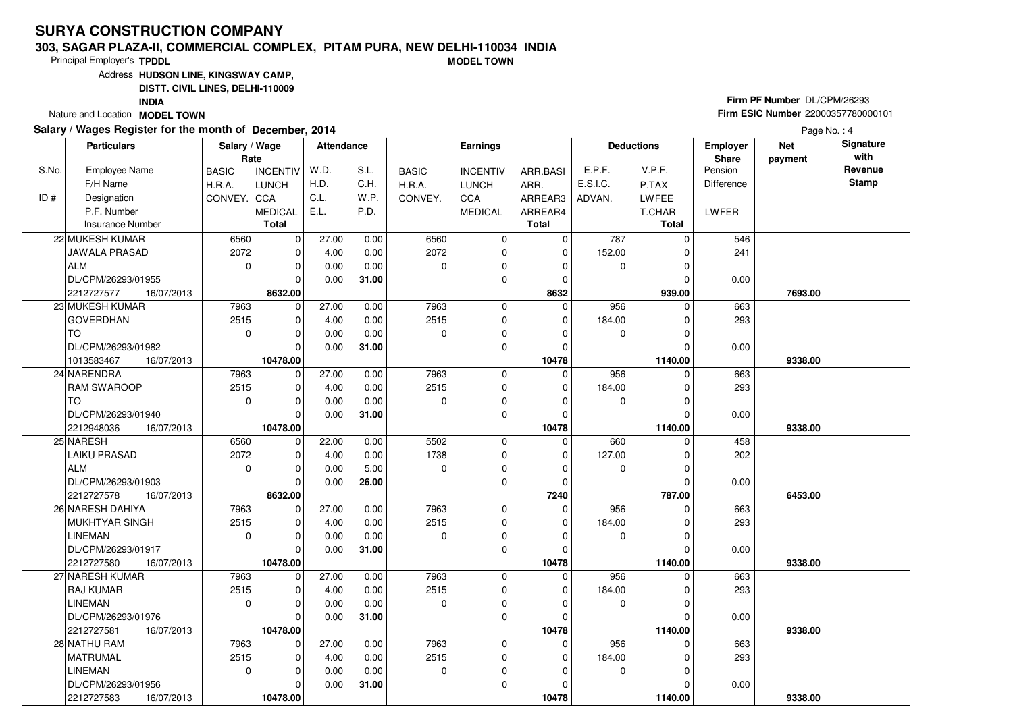#### **303, SAGAR PLAZA-II, COMMERCIAL COMPLEX, PITAM PURA, NEW DELHI-110034 INDIAMODEL TOWN**

Principal Employer's**TPDDL**

Address**HUDSON LINE, KINGSWAY CAMP,**

**DISTT. CIVIL LINES, DELHI-110009**

**INDIA**

Nature and Location **MODEL TOWN** 

### **Salary / Wages Register for the month of December, 2014**

# **Firm PF Number** DL/CPM/26293 **Firm ESIC Number** <sup>22000357780000101</sup>

|       | <b>Particulars</b>       | Salary / Wage<br>Rate |                 | <b>Attendance</b> |       |              | <b>Earnings</b> |              |             | <b>Deductions</b> | Employer<br>Share | <b>Net</b><br>payment | Signature<br>with |
|-------|--------------------------|-----------------------|-----------------|-------------------|-------|--------------|-----------------|--------------|-------------|-------------------|-------------------|-----------------------|-------------------|
| S.No. | <b>Employee Name</b>     | <b>BASIC</b>          | <b>INCENTIV</b> | W.D.              | S.L.  | <b>BASIC</b> | <b>INCENTIV</b> | ARR.BASI     | E.P.F.      | V.P.F.            | Pension           |                       | Revenue           |
|       | F/H Name                 | H.R.A.                | <b>LUNCH</b>    | H.D.              | C.H.  | H.R.A.       | <b>LUNCH</b>    | ARR.         | E.S.I.C.    | P.TAX             | Difference        |                       | <b>Stamp</b>      |
| ID#   | Designation              | CONVEY. CCA           |                 | C.L.              | W.P.  | CONVEY.      | <b>CCA</b>      | ARREAR3      | ADVAN.      | LWFEE             |                   |                       |                   |
|       | P.F. Number              |                       | <b>MEDICAL</b>  | E.L.              | P.D.  |              | <b>MEDICAL</b>  | ARREAR4      |             | T.CHAR            | LWFER             |                       |                   |
|       | <b>Insurance Number</b>  |                       | <b>Total</b>    |                   |       |              |                 | <b>Total</b> |             | <b>Total</b>      |                   |                       |                   |
|       | 22 MUKESH KUMAR          | 6560                  | $\overline{0}$  | 27.00             | 0.00  | 6560         | $\mathbf 0$     | $\mathbf 0$  | 787         | $\Omega$          | 546               |                       |                   |
|       | JAWALA PRASAD            | 2072                  | $\mathbf 0$     | 4.00              | 0.00  | 2072         | $\mathbf 0$     | $\mathbf 0$  | 152.00      |                   | 241               |                       |                   |
|       | ALM                      | $\mathbf 0$           | $\mathbf 0$     | 0.00              | 0.00  | $\Omega$     | 0               | $\Omega$     | $\mathbf 0$ | $\Omega$          |                   |                       |                   |
|       | DL/CPM/26293/01955       |                       | $\Omega$        | 0.00              | 31.00 |              | $\mathbf 0$     | $\Omega$     |             |                   | 0.00              |                       |                   |
|       | 2212727577<br>16/07/2013 |                       | 8632.00         |                   |       |              |                 | 8632         |             | 939.00            |                   | 7693.00               |                   |
|       | 23 MUKESH KUMAR          | 7963                  | 0               | 27.00             | 0.00  | 7963         | 0               | $\mathbf 0$  | 956         | $\Omega$          | 663               |                       |                   |
|       | <b>GOVERDHAN</b>         | 2515                  | $\mathbf 0$     | 4.00              | 0.00  | 2515         | $\mathbf 0$     | $\Omega$     | 184.00      |                   | 293               |                       |                   |
|       | TO                       | $\mathbf 0$           | $\mathbf 0$     | 0.00              | 0.00  | $\Omega$     | 0               | $\Omega$     | 0           |                   |                   |                       |                   |
|       | DL/CPM/26293/01982       |                       | $\Omega$        | 0.00              | 31.00 |              | $\mathbf 0$     | $\Omega$     |             |                   | 0.00              |                       |                   |
|       | 16/07/2013<br>1013583467 |                       | 10478.00        |                   |       |              |                 | 10478        |             | 1140.00           |                   | 9338.00               |                   |
|       | 24 NARENDRA              | 7963                  | $\mathbf 0$     | 27.00             | 0.00  | 7963         | $\mathbf 0$     | $\mathbf 0$  | 956         | $\Omega$          | 663               |                       |                   |
|       | <b>RAM SWAROOP</b>       | 2515                  | $\Omega$        | 4.00              | 0.00  | 2515         | $\mathbf 0$     | $\Omega$     | 184.00      |                   | 293               |                       |                   |
|       | l TO                     | $\mathbf 0$           | $\mathbf 0$     | 0.00              | 0.00  | $\Omega$     | 0               | 0            | 0           | $\Omega$          |                   |                       |                   |
|       | DL/CPM/26293/01940       |                       | $\Omega$        | 0.00              | 31.00 |              | $\mathbf 0$     | $\mathbf 0$  |             |                   | 0.00              |                       |                   |
|       | 2212948036<br>16/07/2013 |                       | 10478.00        |                   |       |              |                 | 10478        |             | 1140.00           |                   | 9338.00               |                   |
|       | 25 NARESH                | 6560                  | $\mathbf 0$     | 22.00             | 0.00  | 5502         | $\mathbf 0$     | $\mathbf 0$  | 660         | $\Omega$          | 458               |                       |                   |
|       | <b>LAIKU PRASAD</b>      | 2072                  | $\Omega$        | 4.00              | 0.00  | 1738         | $\mathbf 0$     | $\Omega$     | 127.00      |                   | 202               |                       |                   |
|       | ALM                      | $\mathbf 0$           | $\Omega$        | 0.00              | 5.00  | $\Omega$     | $\pmb{0}$       | $\Omega$     | 0           |                   |                   |                       |                   |
|       | DL/CPM/26293/01903       |                       | $\Omega$        | 0.00              | 26.00 |              | $\mathbf 0$     | 0            |             |                   | 0.00              |                       |                   |
|       | 2212727578<br>16/07/2013 |                       | 8632.00         |                   |       |              |                 | 7240         |             | 787.00            |                   | 6453.00               |                   |
|       | 26 NARESH DAHIYA         | 7963                  | $\mathbf 0$     | 27.00             | 0.00  | 7963         | $\mathbf 0$     | $\Omega$     | 956         |                   | 663               |                       |                   |
|       | MUKHTYAR SINGH           | 2515                  | $\Omega$        | 4.00              | 0.00  | 2515         | $\mathbf 0$     | $\Omega$     | 184.00      |                   | 293               |                       |                   |
|       | <b>LINEMAN</b>           | $\Omega$              | $\mathbf 0$     | 0.00              | 0.00  | $\Omega$     | $\mathbf 0$     | $\Omega$     | $\mathbf 0$ | O                 |                   |                       |                   |
|       | DL/CPM/26293/01917       |                       | $\mathbf 0$     | 0.00              | 31.00 |              | 0               | $\Omega$     |             |                   | 0.00              |                       |                   |
|       | 2212727580<br>16/07/2013 |                       | 10478.00        |                   |       |              |                 | 10478        |             | 1140.00           |                   | 9338.00               |                   |
|       | 27 NARESH KUMAR          | 7963                  | 0               | 27.00             | 0.00  | 7963         | $\mathbf 0$     | $\mathbf 0$  | 956         | 0                 | 663               |                       |                   |
|       | <b>RAJ KUMAR</b>         | 2515                  | $\mathbf 0$     | 4.00              | 0.00  | 2515         | 0               | $\Omega$     | 184.00      |                   | 293               |                       |                   |
|       | <b>LINEMAN</b>           | $\Omega$              | $\Omega$        | 0.00              | 0.00  | $\Omega$     | 0               | $\Omega$     | 0           |                   |                   |                       |                   |
|       | DL/CPM/26293/01976       |                       | $\Omega$        | 0.00              | 31.00 |              | 0               | $\Omega$     |             |                   | 0.00              |                       |                   |
|       | 2212727581<br>16/07/2013 |                       | 10478.00        |                   |       |              |                 | 10478        |             | 1140.00<br>0      |                   | 9338.00               |                   |
|       | 28 NATHU RAM             | 7963<br>2515          | $\mathbf 0$     | 27.00             | 0.00  | 7963         | $\mathbf 0$     | 0            | 956         |                   | 663               |                       |                   |
|       | MATRUMAL                 |                       | $\mathbf 0$     | 4.00              | 0.00  | 2515         | $\mathbf 0$     | 0            | 184.00      |                   | 293               |                       |                   |
|       | <b>LINEMAN</b>           | $\mathbf 0$           | $\mathbf 0$     | 0.00              | 0.00  | $\mathbf 0$  | 0               | $\Omega$     | 0           | U                 |                   |                       |                   |
|       | DL/CPM/26293/01956       |                       | $\Omega$        | 0.00              | 31.00 |              | $\mathbf 0$     | $\Omega$     |             |                   | 0.00              |                       |                   |
|       | 2212727583<br>16/07/2013 |                       | 10478.00        |                   |       |              |                 | 10478        |             | 1140.00           |                   | 9338.00               |                   |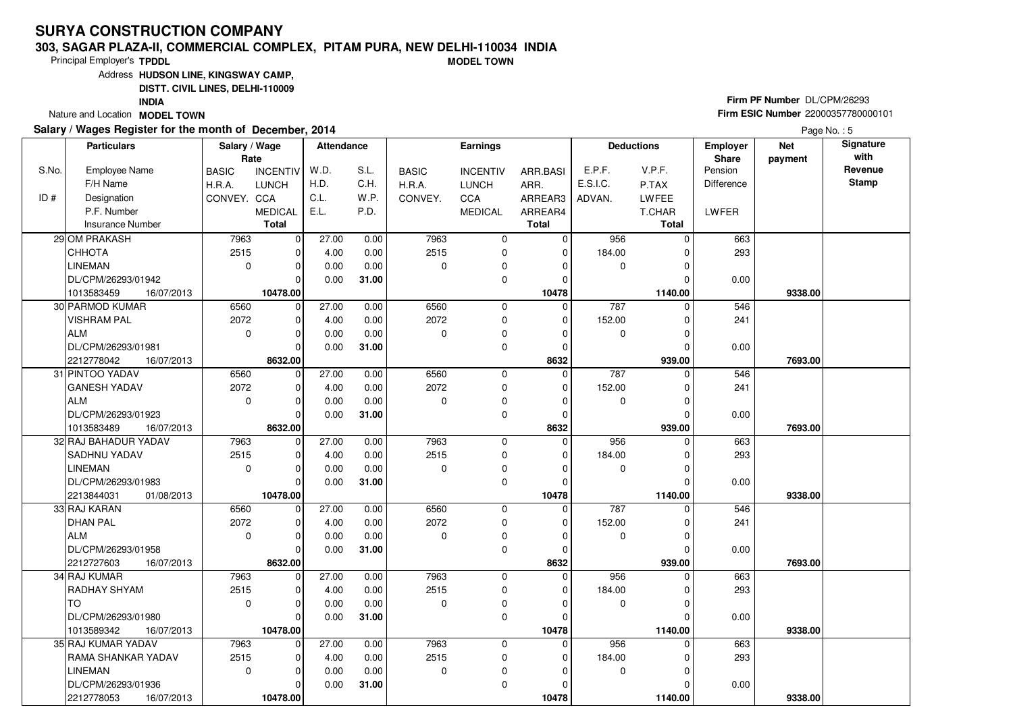#### **303, SAGAR PLAZA-II, COMMERCIAL COMPLEX, PITAM PURA, NEW DELHI-110034 INDIAMODEL TOWN**

Principal Employer's**TPDDL**

Address**HUDSON LINE, KINGSWAY CAMP,**

**DISTT. CIVIL LINES, DELHI-110009**

**INDIA**

Nature and Location **MODEL TOWN** 

### **Salary / Wages Register for the month of December, 2014**

# **Firm PF Number** DL/CPM/26293 **Firm ESIC Number** <sup>22000357780000101</sup>

|       | <b>Particulars</b>                          | Salary / Wage        |                   | <b>Attendance</b> |              |              | Earnings         |              |             | <b>Deductions</b> | Employer          | <b>Net</b> | Signature<br>with |
|-------|---------------------------------------------|----------------------|-------------------|-------------------|--------------|--------------|------------------|--------------|-------------|-------------------|-------------------|------------|-------------------|
| S.No. | <b>Employee Name</b>                        | Rate<br><b>BASIC</b> | <b>INCENTIV</b>   | W.D.              | S.L.         | <b>BASIC</b> | <b>INCENTIV</b>  | ARR.BASI     | E.P.F.      | V.P.F.            | Share<br>Pension  | payment    | Revenue           |
|       | F/H Name                                    | H.R.A.               | <b>LUNCH</b>      | H.D.              | C.H.         | H.R.A.       | <b>LUNCH</b>     | ARR.         | E.S.I.C.    | P.TAX             | <b>Difference</b> |            | <b>Stamp</b>      |
| ID#   | Designation                                 | CONVEY. CCA          |                   | C.L.              | W.P.         | CONVEY.      | CCA              | ARREAR3      | ADVAN.      | LWFEE             |                   |            |                   |
|       | P.F. Number                                 |                      | <b>MEDICAL</b>    | E.L.              | P.D.         |              | <b>MEDICAL</b>   | ARREAR4      |             | T.CHAR            | LWFER             |            |                   |
|       | <b>Insurance Number</b>                     |                      | <b>Total</b>      |                   |              |              |                  | <b>Total</b> |             | <b>Total</b>      |                   |            |                   |
|       | 29 OM PRAKASH                               | 7963                 |                   | 27.00             |              | 7963         |                  | 0            | 956         | $\Omega$          |                   |            |                   |
|       | CHHOTA                                      | 2515                 | 0 <br>$\mathbf 0$ | 4.00              | 0.00<br>0.00 | 2515         | 0<br>$\mathbf 0$ | $\mathbf 0$  | 184.00      |                   | 663<br>293        |            |                   |
|       | <b>LINEMAN</b>                              | $\mathbf 0$          | $\mathbf 0$       | 0.00              | 0.00         | $\Omega$     |                  | $\Omega$     |             | U                 |                   |            |                   |
|       | DL/CPM/26293/01942                          |                      | $\Omega$          | 0.00              |              |              | 0<br>$\mathbf 0$ | $\mathbf 0$  | 0           |                   |                   |            |                   |
|       |                                             |                      | 10478.00          |                   | 31.00        |              |                  | 10478        |             | 1140.00           | 0.00              | 9338.00    |                   |
|       | 1013583459<br>16/07/2013<br>30 PARMOD KUMAR | 6560                 | $\mathbf 0$       | 27.00             |              | 6560         | 0                | $\mathbf 0$  | 787         | 0                 | 546               |            |                   |
|       | <b>VISHRAM PAL</b>                          | 2072                 | $\mathbf 0$       | 4.00              | 0.00<br>0.00 | 2072         | 0                | $\Omega$     | 152.00      |                   | 241               |            |                   |
|       | <b>ALM</b>                                  | $\Omega$             | $\Omega$          | 0.00              | 0.00         | $\Omega$     | 0                | $\Omega$     | 0           |                   |                   |            |                   |
|       | DL/CPM/26293/01981                          |                      | $\Omega$          | 0.00              | 31.00        |              | $\mathbf 0$      | 0            |             |                   | 0.00              |            |                   |
|       | 2212778042<br>16/07/2013                    |                      | 8632.00           |                   |              |              |                  | 8632         |             | 939.00            |                   | 7693.00    |                   |
|       | 31 PINTOO YADAV                             | 6560                 | $\mathbf 0$       | 27.00             | 0.00         | 6560         | $\mathbf 0$      | $\mathbf 0$  | 787         |                   | 546               |            |                   |
|       | <b>GANESH YADAV</b>                         | 2072                 | $\Omega$          | 4.00              | 0.00         | 2072         | 0                | $\Omega$     | 152.00      |                   | 241               |            |                   |
|       | ALM                                         | $\mathbf 0$          | $\mathbf 0$       | 0.00              | 0.00         | $\Omega$     | $\mathbf 0$      | $\Omega$     | $\mathbf 0$ | $\Omega$          |                   |            |                   |
|       | DL/CPM/26293/01923                          |                      | $\mathbf 0$       | 0.00              | 31.00        |              | 0                | 0            |             |                   | 0.00              |            |                   |
|       | 1013583489<br>16/07/2013                    |                      | 8632.00           |                   |              |              |                  | 8632         |             | 939.00            |                   | 7693.00    |                   |
|       | 32 RAJ BAHADUR YADAV                        | 7963                 | $\mathbf 0$       | 27.00             | 0.00         | 7963         | $\mathbf 0$      | $\Omega$     | 956         | $\Omega$          | 663               |            |                   |
|       | SADHNU YADAV                                | 2515                 | $\mathbf 0$       | 4.00              | 0.00         | 2515         | 0                | $\Omega$     | 184.00      |                   | 293               |            |                   |
|       | <b>LINEMAN</b>                              | $\mathbf 0$          | $\mathbf 0$       | 0.00              | 0.00         | $\Omega$     | $\mathbf 0$      | $\Omega$     | 0           |                   |                   |            |                   |
|       | DL/CPM/26293/01983                          |                      | $\Omega$          | 0.00              | 31.00        |              | $\mathbf 0$      | $\Omega$     |             |                   | 0.00              |            |                   |
|       | 2213844031<br>01/08/2013                    |                      | 10478.00          |                   |              |              |                  | 10478        |             | 1140.00           |                   | 9338.00    |                   |
|       | 33 RAJ KARAN                                | 6560                 | $\mathbf 0$       | 27.00             | 0.00         | 6560         | $\mathbf 0$      | $\Omega$     | 787         |                   | 546               |            |                   |
|       | <b>DHAN PAL</b>                             | 2072                 | $\Omega$          | 4.00              | 0.00         | 2072         | 0                | $\Omega$     | 152.00      |                   | 241               |            |                   |
|       | <b>ALM</b>                                  | $\mathbf 0$          | $\mathbf 0$       | 0.00              | 0.00         | $\Omega$     | 0                | 0            | 0           | O                 |                   |            |                   |
|       | DL/CPM/26293/01958                          |                      | $\mathbf 0$       | 0.00              | 31.00        |              | $\mathbf 0$      | $\mathbf 0$  |             |                   | 0.00              |            |                   |
|       | 2212727603<br>16/07/2013                    |                      | 8632.00           |                   |              |              |                  | 8632         |             | 939.00            |                   | 7693.00    |                   |
|       | 34 RAJ KUMAR                                | 7963                 | $\mathbf 0$       | 27.00             | 0.00         | 7963         | $\mathbf 0$      | $\Omega$     | 956         | 0                 | 663               |            |                   |
|       | RADHAY SHYAM                                | 2515                 | $\Omega$          | 4.00              | 0.00         | 2515         | $\mathbf 0$      | $\Omega$     | 184.00      |                   | 293               |            |                   |
|       | l TO                                        | $\mathbf 0$          | $\mathbf 0$       | 0.00              | 0.00         | 0            | 0                | $\Omega$     | 0           |                   |                   |            |                   |
|       | DL/CPM/26293/01980                          |                      | $\Omega$          | 0.00              | 31.00        |              | $\mathbf 0$      | $\Omega$     |             |                   | 0.00              |            |                   |
|       | 1013589342<br>16/07/2013                    |                      | 10478.00          |                   |              |              |                  | 10478        |             | 1140.00           |                   | 9338.00    |                   |
|       | 35 RAJ KUMAR YADAV                          | 7963                 | $\mathbf 0$       | 27.00             | 0.00         | 7963         | $\mathbf 0$      | 0            | 956         | $\Omega$          | 663               |            |                   |
|       | RAMA SHANKAR YADAV                          | 2515                 | $\mathbf 0$       | 4.00              | 0.00         | 2515         | $\mathbf 0$      | 0            | 184.00      |                   | 293               |            |                   |
|       | <b>LINEMAN</b>                              | $\mathbf 0$          | $\mathbf 0$       | 0.00              | 0.00         | 0            | 0                | $\Omega$     | 0           | U                 |                   |            |                   |
|       | DL/CPM/26293/01936                          |                      | $\Omega$          | 0.00              | 31.00        |              | $\mathbf 0$      | $\Omega$     |             |                   | 0.00              |            |                   |
|       | 2212778053<br>16/07/2013                    |                      | 10478.00          |                   |              |              |                  | 10478        |             | 1140.00           |                   | 9338.00    |                   |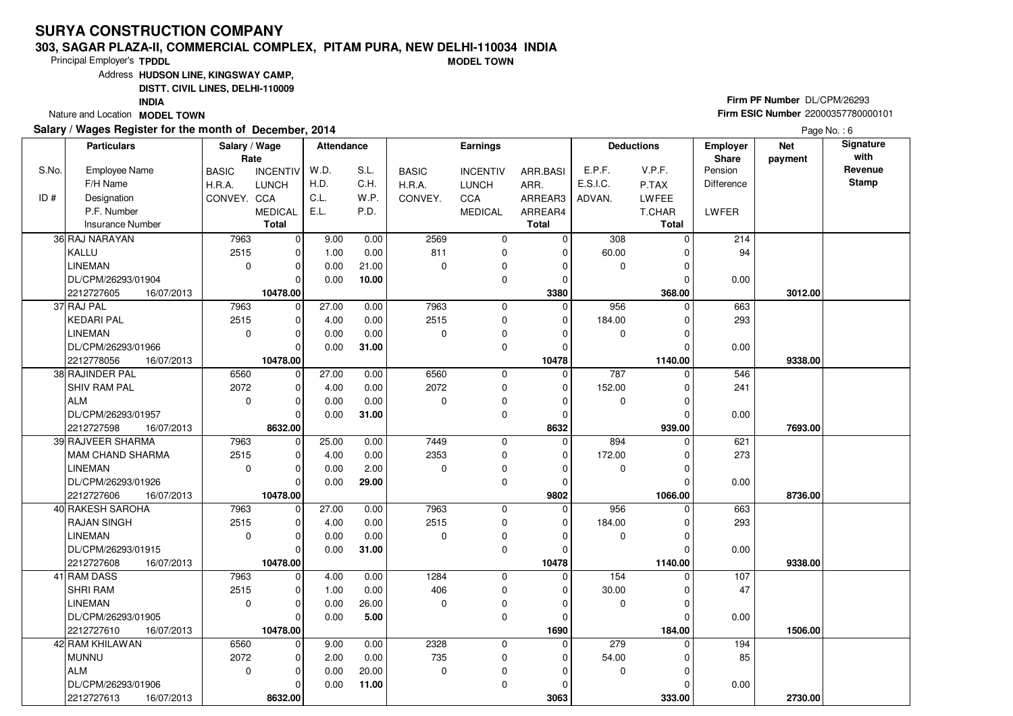#### **303, SAGAR PLAZA-II, COMMERCIAL COMPLEX, PITAM PURA, NEW DELHI-110034 INDIAMODEL TOWN**

Principal Employer's**TPDDL**

Address**HUDSON LINE, KINGSWAY CAMP,**

**DISTT. CIVIL LINES, DELHI-110009**

**INDIA**

Nature and Location **MODEL TOWN** 

#### **Salary / Wages Register for the month of December, 2014**

# **Firm PF Number** DL/CPM/26293 **Firm ESIC Number** <sup>22000357780000101</sup>

|       | <b>Particulars</b>       | Salary / Wage<br>Rate |                 | <b>Attendance</b> |       |              | <b>Earnings</b> |                |             | <b>Deductions</b> | Employer<br>Share | <b>Net</b><br>payment | Signature<br>with |
|-------|--------------------------|-----------------------|-----------------|-------------------|-------|--------------|-----------------|----------------|-------------|-------------------|-------------------|-----------------------|-------------------|
| S.No. | <b>Employee Name</b>     | <b>BASIC</b>          | <b>INCENTIV</b> | W.D.              | S.L.  | <b>BASIC</b> | <b>INCENTIV</b> | ARR.BASI       | E.P.F.      | V.P.F.            | Pension           |                       | Revenue           |
|       | F/H Name                 | H.R.A.                | <b>LUNCH</b>    | H.D.              | C.H.  | H.R.A.       | <b>LUNCH</b>    | ARR.           | E.S.I.C.    | P.TAX             | <b>Difference</b> |                       | <b>Stamp</b>      |
| ID#   | Designation              | CONVEY. CCA           |                 | C.L.              | W.P.  | CONVEY.      | <b>CCA</b>      | ARREAR3        | ADVAN.      | <b>LWFEE</b>      |                   |                       |                   |
|       | P.F. Number              |                       | <b>MEDICAL</b>  | E.L.              | P.D.  |              | <b>MEDICAL</b>  | ARREAR4        |             | T.CHAR            | LWFER             |                       |                   |
|       | <b>Insurance Number</b>  |                       | <b>Total</b>    |                   |       |              |                 | <b>Total</b>   |             | <b>Total</b>      |                   |                       |                   |
|       | 36 RAJ NARAYAN           | 7963                  | 0               | 9.00              | 0.00  | 2569         | $\mathbf 0$     | $\mathbf 0$    | 308         | $\Omega$          | 214               |                       |                   |
|       | KALLU                    | 2515                  | $\mathbf 0$     | 1.00              | 0.00  | 811          | $\mathbf 0$     | $\mathbf 0$    | 60.00       |                   | 94                |                       |                   |
|       | LINEMAN                  | $\mathbf 0$           | $\mathbf 0$     | 0.00              | 21.00 | $\Omega$     | 0               | $\Omega$       | 0           | $\Omega$          |                   |                       |                   |
|       | DL/CPM/26293/01904       |                       | $\Omega$        | 0.00              | 10.00 |              | $\mathbf 0$     | $\mathbf 0$    |             | $\Omega$          | 0.00              |                       |                   |
|       | 2212727605<br>16/07/2013 |                       | 10478.00        |                   |       |              |                 | 3380           |             | 368.00            |                   | 3012.00               |                   |
|       | 37 RAJ PAL               | 7963                  | 0               | 27.00             | 0.00  | 7963         | 0               | $\mathbf 0$    | 956         | $\Omega$          | 663               |                       |                   |
|       | KEDARI PAL               | 2515                  | $\mathbf 0$     | 4.00              | 0.00  | 2515         | $\mathbf 0$     | $\mathbf 0$    | 184.00      |                   | 293               |                       |                   |
|       | <b>LINEMAN</b>           | $\mathbf 0$           | $\Omega$        | 0.00              | 0.00  | $\Omega$     | $\mathbf 0$     | 0              | 0           |                   |                   |                       |                   |
|       | DL/CPM/26293/01966       |                       | $\Omega$        | 0.00              | 31.00 |              | $\Omega$        | $\Omega$       |             | $\Omega$          | 0.00              |                       |                   |
|       | 2212778056<br>16/07/2013 |                       | 10478.00        |                   |       |              |                 | 10478          |             | 1140.00           |                   | 9338.00               |                   |
|       | 38 RAJINDER PAL          | 6560                  | $\mathbf 0$     | 27.00             | 0.00  | 6560         | 0               | $\mathbf 0$    | 787         | $\Omega$          | 546               |                       |                   |
|       | <b>SHIV RAM PAL</b>      | 2072                  | $\mathbf 0$     | 4.00              | 0.00  | 2072         | $\mathbf 0$     | $\mathbf 0$    | 152.00      | O                 | 241               |                       |                   |
|       | ALM                      | $\mathbf 0$           | $\Omega$        | 0.00              | 0.00  | $\Omega$     | 0               | $\Omega$       | 0           | O                 |                   |                       |                   |
|       | DL/CPM/26293/01957       |                       | $\Omega$        | 0.00              | 31.00 |              | $\mathbf 0$     | $\mathbf 0$    |             |                   | 0.00              |                       |                   |
|       | 2212727598<br>16/07/2013 |                       | 8632.00         |                   |       |              |                 | 8632           |             | 939.00            |                   | 7693.00               |                   |
|       | 39 RAJVEER SHARMA        | 7963                  | 0               | 25.00             | 0.00  | 7449         | $\overline{0}$  | $\overline{0}$ | 894         | $\Omega$          | 621               |                       |                   |
|       | IMAM CHAND SHARMA        | 2515                  | $\mathbf 0$     | 4.00              | 0.00  | 2353         | $\mathbf 0$     | $\Omega$       | 172.00      |                   | 273               |                       |                   |
|       | <b>LINEMAN</b>           | $\mathbf 0$           | $\mathbf 0$     | 0.00              | 2.00  | $\Omega$     | $\mathbf 0$     | $\Omega$       | 0           |                   |                   |                       |                   |
|       | DL/CPM/26293/01926       |                       | $\Omega$        | 0.00              | 29.00 |              | $\mathbf 0$     | $\mathbf 0$    |             |                   | 0.00              |                       |                   |
|       | 2212727606<br>16/07/2013 |                       | 10478.00        |                   |       |              |                 | 9802           |             | 1066.00           |                   | 8736.00               |                   |
|       | 40 RAKESH SAROHA         | 7963                  | 0               | 27.00             | 0.00  | 7963         | 0               | 0              | 956         | 0                 | 663               |                       |                   |
|       | <b>RAJAN SINGH</b>       | 2515                  | $\Omega$        | 4.00              | 0.00  | 2515         | 0               | 0              | 184.00      |                   | 293               |                       |                   |
|       | <b>LINEMAN</b>           | $\Omega$              | $\mathbf 0$     | 0.00              | 0.00  | $\Omega$     | $\mathbf 0$     | $\Omega$       | $\mathbf 0$ | O                 |                   |                       |                   |
|       | DL/CPM/26293/01915       |                       | $\Omega$        | 0.00              | 31.00 |              | $\mathbf 0$     | $\Omega$       |             |                   | 0.00              |                       |                   |
|       | 2212727608<br>16/07/2013 |                       | 10478.00        |                   |       |              |                 | 10478          |             | 1140.00           |                   | 9338.00               |                   |
|       | 41 RAM DASS              | 7963                  | $\mathbf 0$     | 4.00              | 0.00  | 1284         | 0               | $\mathbf 0$    | 154         | 0                 | 107               |                       |                   |
|       | <b>SHRI RAM</b>          | 2515                  | $\mathbf 0$     | 1.00              | 0.00  | 406          | 0               | $\Omega$       | 30.00       |                   | 47                |                       |                   |
|       | LINEMAN                  | $\Omega$              | $\Omega$        | 0.00              | 26.00 | $\Omega$     | 0               | $\Omega$       | $\mathbf 0$ | U                 |                   |                       |                   |
|       | DL/CPM/26293/01905       |                       | $\Omega$        | 0.00              | 5.00  |              | $\mathbf 0$     | $\mathbf 0$    |             |                   | 0.00              |                       |                   |
|       | 2212727610<br>16/07/2013 |                       | 10478.00        |                   |       |              |                 | 1690           |             | 184.00            |                   | 1506.00               |                   |
|       | 42 RAM KHILAWAN          | 6560                  | $\mathbf 0$     | 9.00              | 0.00  | 2328         | $\mathbf 0$     | 0              | 279         | $\Omega$          | 194               |                       |                   |
|       | munnu                    | 2072                  | $\mathbf 0$     | 2.00              | 0.00  | 735          | 0               | $\Omega$       | 54.00       |                   | 85                |                       |                   |
|       | ALM                      | $\Omega$              | $\Omega$        | 0.00              | 20.00 | $\mathbf 0$  | 0               | $\Omega$       | 0           | $\Omega$          |                   |                       |                   |
|       | DL/CPM/26293/01906       |                       | $\Omega$        | 0.00              | 11.00 |              | $\mathbf 0$     | $\Omega$       |             |                   | 0.00              |                       |                   |
|       | 2212727613<br>16/07/2013 |                       | 8632.00         |                   |       |              |                 | 3063           |             | 333.00            |                   | 2730.00               |                   |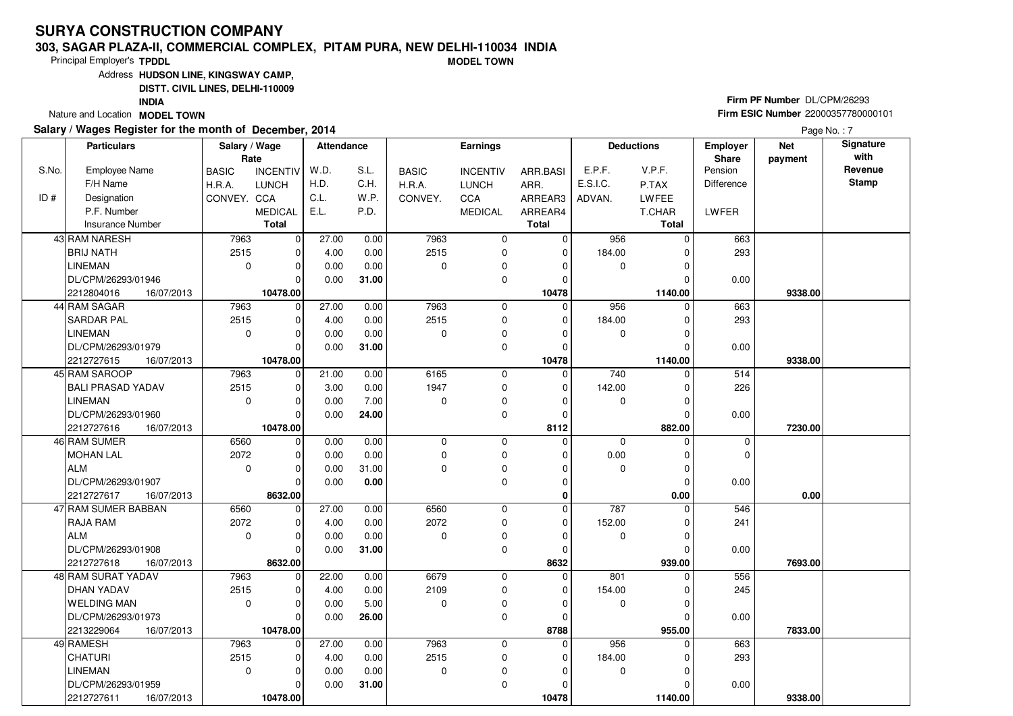#### **303, SAGAR PLAZA-II, COMMERCIAL COMPLEX, PITAM PURA, NEW DELHI-110034 INDIAMODEL TOWN**

Principal Employer's**TPDDL**

Address**HUDSON LINE, KINGSWAY CAMP,**

**DISTT. CIVIL LINES, DELHI-110009**

**INDIA**

Nature and Location **MODEL TOWN** 

### **Salary / Wages Register for the month of December, 2014**

# **Firm PF Number** DL/CPM/26293 **Firm ESIC Number** <sup>22000357780000101</sup>

|       | <b>Particulars</b>                             | Salary / Wage<br>Rate |                        | <b>Attendance</b> |       |              | <b>Earnings</b> |                     |             | <b>Deductions</b> | Employer<br>Share | <b>Net</b><br>payment | Signature<br>with |
|-------|------------------------------------------------|-----------------------|------------------------|-------------------|-------|--------------|-----------------|---------------------|-------------|-------------------|-------------------|-----------------------|-------------------|
| S.No. | <b>Employee Name</b>                           | <b>BASIC</b>          | <b>INCENTIV</b>        | W.D.              | S.L.  | <b>BASIC</b> | <b>INCENTIV</b> | ARR.BASI            | E.P.F.      | V.P.F.            | Pension           |                       | Revenue           |
|       | F/H Name                                       | H.R.A.                | <b>LUNCH</b>           | H.D.              | C.H.  | H.R.A.       | <b>LUNCH</b>    | ARR.                | E.S.I.C.    | P.TAX             | <b>Difference</b> |                       | Stamp             |
| ID#   | Designation                                    | CONVEY. CCA           |                        | C.L.              | W.P.  | CONVEY.      | <b>CCA</b>      | ARREAR3             | ADVAN.      | LWFEE             |                   |                       |                   |
|       | P.F. Number                                    |                       | <b>MEDICAL</b>         | E.L.              | P.D.  |              | <b>MEDICAL</b>  | ARREAR4             |             | T.CHAR            | <b>LWFER</b>      |                       |                   |
|       | <b>Insurance Number</b>                        |                       | <b>Total</b>           |                   |       |              |                 | <b>Total</b>        |             | <b>Total</b>      |                   |                       |                   |
|       | 43 RAM NARESH                                  | 7963                  | $\overline{0}$         | 27.00             | 0.00  | 7963         | $\mathbf 0$     | $\mathbf 0$         | 956         | $\Omega$          | 663               |                       |                   |
|       | <b>BRIJ NATH</b>                               | 2515                  | $\mathbf 0$            | 4.00              | 0.00  | 2515         | $\mathbf 0$     | $\mathbf 0$         | 184.00      |                   | 293               |                       |                   |
|       | <b>LINEMAN</b>                                 | $\mathbf 0$           | $\mathbf 0$            | 0.00              | 0.00  | $\Omega$     | 0               | $\Omega$            | 0           |                   |                   |                       |                   |
|       | DL/CPM/26293/01946                             |                       | $\Omega$               | 0.00              | 31.00 |              | $\mathbf 0$     | $\Omega$            |             |                   | 0.00              |                       |                   |
|       | 2212804016<br>16/07/2013                       |                       | 10478.00               |                   |       |              |                 | 10478               |             | 1140.00           |                   | 9338.00               |                   |
|       | 44 RAM SAGAR                                   | 7963                  | 0                      | 27.00             | 0.00  | 7963         | 0               | 0                   | 956         | $\Omega$          | 663               |                       |                   |
|       | <b>SARDAR PAL</b>                              | 2515                  | $\mathbf 0$            | 4.00              | 0.00  | 2515         | $\mathbf 0$     | $\Omega$            | 184.00      |                   | 293               |                       |                   |
|       | <b>LINEMAN</b>                                 | $\mathbf 0$           | $\mathbf 0$            | 0.00              | 0.00  | $\Omega$     | 0               | $\Omega$            | 0           |                   |                   |                       |                   |
|       | DL/CPM/26293/01979                             |                       | $\Omega$               | 0.00              | 31.00 |              | $\mathbf 0$     | $\Omega$            |             |                   | 0.00              |                       |                   |
|       | 2212727615<br>16/07/2013                       |                       | 10478.00               |                   |       |              |                 | 10478               |             | 1140.00           |                   | 9338.00               |                   |
|       | 45 RAM SAROOP                                  | 7963                  | $\mathbf 0$            | 21.00             | 0.00  | 6165         | 0               | 0                   | 740         | $\Omega$          | 514               |                       |                   |
|       | <b>BALI PRASAD YADAV</b>                       | 2515                  | $\Omega$               | 3.00              | 0.00  | 1947         | $\mathbf 0$     | $\Omega$            | 142.00      |                   | 226               |                       |                   |
|       | <b>LINEMAN</b>                                 | $\mathbf 0$           | $\mathbf 0$            | 0.00              | 7.00  | $\Omega$     | 0               | $\Omega$            | 0           | $\Omega$          |                   |                       |                   |
|       | DL/CPM/26293/01960                             |                       | $\Omega$               | 0.00              | 24.00 |              | $\mathbf 0$     | $\Omega$            |             |                   | 0.00              |                       |                   |
|       | 2212727616<br>16/07/2013                       |                       | 10478.00               |                   |       |              |                 | 8112                |             | 882.00            |                   | 7230.00               |                   |
|       | 46 RAM SUMER                                   | 6560                  | $\mathbf 0$            | 0.00              | 0.00  | $\mathbf 0$  | $\mathbf 0$     | $\Omega$            | $\mathbf 0$ | $\Omega$          | 0                 |                       |                   |
|       | MOHAN LAL                                      | 2072                  | $\Omega$               | 0.00              | 0.00  | $\Omega$     | $\mathbf 0$     | $\Omega$            | 0.00        | $\Omega$          | $\mathbf 0$       |                       |                   |
|       | ALM                                            | $\mathbf 0$           | $\Omega$               | 0.00              | 31.00 | $\Omega$     | $\mathbf 0$     | 0                   | 0           | 0                 |                   |                       |                   |
|       | DL/CPM/26293/01907                             |                       | $\Omega$               | 0.00              | 0.00  |              | $\mathbf 0$     | $\mathbf 0$         |             | $\Omega$          | 0.00              |                       |                   |
|       | 2212727617<br>16/07/2013                       |                       | 8632.00                |                   |       |              |                 | $\bf{0}$            |             | 0.00              |                   | 0.00                  |                   |
|       | 47 RAM SUMER BABBAN                            | 6560                  | $\mathbf 0$            | 27.00             | 0.00  | 6560         | $\mathbf 0$     | $\mathbf{0}$        | 787         |                   | 546               |                       |                   |
|       | <b>RAJA RAM</b>                                | 2072                  | $\Omega$               | 4.00              | 0.00  | 2072         | $\mathbf 0$     | $\Omega$            | 152.00      |                   | 241               |                       |                   |
|       | l ALM                                          | $\Omega$              | $\mathbf 0$            | 0.00              | 0.00  | $\Omega$     | $\mathbf 0$     | $\Omega$            | 0           | O                 |                   |                       |                   |
|       | DL/CPM/26293/01908                             |                       | $\mathbf 0$            | 0.00              | 31.00 |              | 0               | $\mathbf 0$         |             | 939.00            | 0.00              |                       |                   |
|       | 2212727618<br>16/07/2013<br>48 RAM SURAT YADAV | 7963                  | 8632.00<br>$\mathbf 0$ | 22.00             | 0.00  | 6679         | $\mathbf 0$     | 8632<br>$\mathbf 0$ | 801         | <sup>0</sup>      | 556               | 7693.00               |                   |
|       | <b>DHAN YADAV</b>                              | 2515                  | $\Omega$               | 4.00              | 0.00  | 2109         | 0               | $\Omega$            | 154.00      |                   | 245               |                       |                   |
|       | WELDING MAN                                    | $\Omega$              | $\Omega$               | 0.00              | 5.00  | $\Omega$     | 0               | $\Omega$            | 0           |                   |                   |                       |                   |
|       | DL/CPM/26293/01973                             |                       | $\Omega$               | 0.00              | 26.00 |              | 0               | $\Omega$            |             |                   | 0.00              |                       |                   |
|       | 2213229064<br>16/07/2013                       |                       | 10478.00               |                   |       |              |                 | 8788                |             | 955.00            |                   | 7833.00               |                   |
|       | 49 RAMESH                                      | 7963                  | $\mathbf 0$            | 27.00             | 0.00  | 7963         | $\mathbf 0$     | 0                   | 956         | 0                 | 663               |                       |                   |
|       | <b>CHATURI</b>                                 | 2515                  | $\mathbf 0$            | 4.00              | 0.00  | 2515         | $\mathbf 0$     | $\Omega$            | 184.00      |                   | 293               |                       |                   |
|       | <b>LINEMAN</b>                                 | $\mathbf 0$           | $\mathbf 0$            | 0.00              | 0.00  | 0            | $\mathbf 0$     | $\Omega$            | 0           | U                 |                   |                       |                   |
|       | DL/CPM/26293/01959                             |                       | $\Omega$               | 0.00              | 31.00 |              | $\mathbf 0$     | $\Omega$            |             |                   | 0.00              |                       |                   |
|       | 2212727611<br>16/07/2013                       |                       | 10478.00               |                   |       |              |                 | 10478               |             | 1140.00           |                   | 9338.00               |                   |
|       |                                                |                       |                        |                   |       |              |                 |                     |             |                   |                   |                       |                   |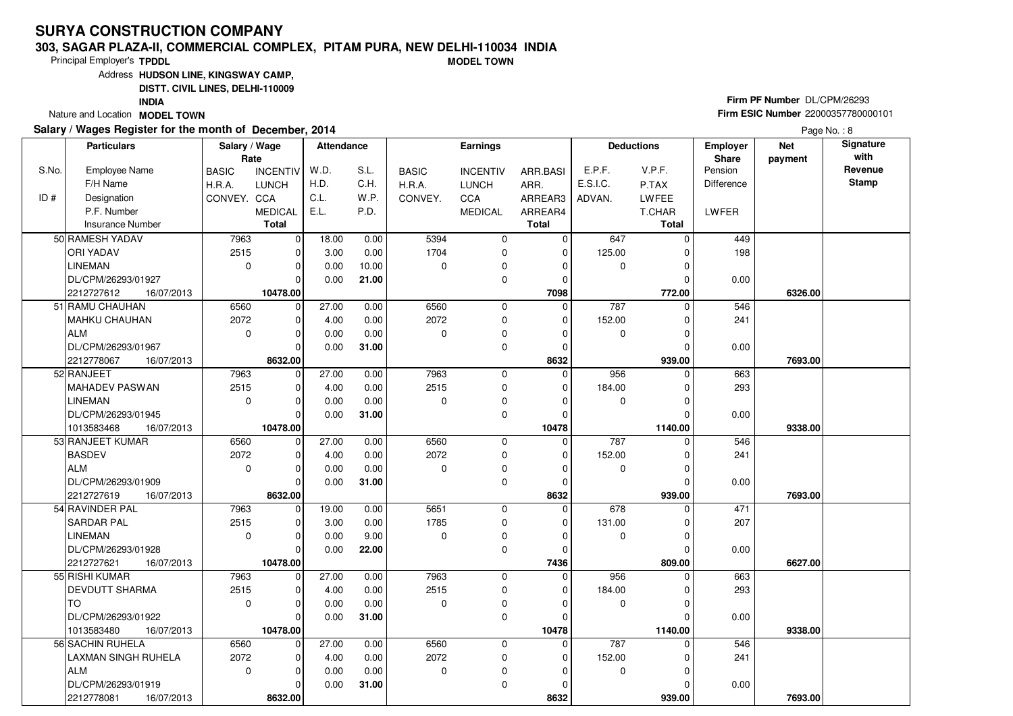#### **303, SAGAR PLAZA-II, COMMERCIAL COMPLEX, PITAM PURA, NEW DELHI-110034 INDIAMODEL TOWN**

Principal Employer's**TPDDL**

Address**HUDSON LINE, KINGSWAY CAMP,**

**DISTT. CIVIL LINES, DELHI-110009**

**INDIA**

Nature and Location **MODEL TOWN** 

#### **Salary / Wages Register for the month of December, 2014**

# **Firm PF Number** DL/CPM/26293 **Firm ESIC Number** <sup>22000357780000101</sup>

|       | <b>Particulars</b>         | Salary / Wage<br>Rate |                 | <b>Attendance</b> |       |              | <b>Earnings</b> |              |             | <b>Deductions</b> | Employer<br>Share | <b>Net</b><br>payment | Signature<br>with |
|-------|----------------------------|-----------------------|-----------------|-------------------|-------|--------------|-----------------|--------------|-------------|-------------------|-------------------|-----------------------|-------------------|
| S.No. | <b>Employee Name</b>       | <b>BASIC</b>          | <b>INCENTIV</b> | W.D.              | S.L.  | <b>BASIC</b> | <b>INCENTIV</b> | ARR.BASI     | E.P.F.      | V.P.F.            | Pension           |                       | Revenue           |
|       | F/H Name                   | H.R.A.                | <b>LUNCH</b>    | H.D.              | C.H.  | H.R.A.       | <b>LUNCH</b>    | ARR.         | E.S.I.C.    | P.TAX             | <b>Difference</b> |                       | <b>Stamp</b>      |
| ID#   | Designation                | CONVEY, CCA           |                 | C.L.              | W.P.  | CONVEY.      | <b>CCA</b>      | ARREAR3      | ADVAN.      | <b>LWFEE</b>      |                   |                       |                   |
|       | P.F. Number                |                       | <b>MEDICAL</b>  | E.L.              | P.D.  |              | <b>MEDICAL</b>  | ARREAR4      |             | T.CHAR            | LWFER             |                       |                   |
|       | <b>Insurance Number</b>    |                       | Total           |                   |       |              |                 | <b>Total</b> |             | <b>Total</b>      |                   |                       |                   |
|       | 50 RAMESH YADAV            | 7963                  | 0               | 18.00             | 0.00  | 5394         | $\mathbf 0$     | $\mathbf 0$  | 647         | $\Omega$          | 449               |                       |                   |
|       | <b>ORI YADAV</b>           | 2515                  | $\mathbf 0$     | 3.00              | 0.00  | 1704         | $\mathbf 0$     | $\mathbf 0$  | 125.00      |                   | 198               |                       |                   |
|       | <b>LINEMAN</b>             | $\mathbf 0$           | $\mathbf 0$     | 0.00              | 10.00 | $\Omega$     | 0               | $\Omega$     | 0           | $\Omega$          |                   |                       |                   |
|       | DL/CPM/26293/01927         |                       | $\Omega$        | 0.00              | 21.00 |              | $\mathbf 0$     | $\mathbf 0$  |             | $\Omega$          | 0.00              |                       |                   |
|       | 2212727612<br>16/07/2013   |                       | 10478.00        |                   |       |              |                 | 7098         |             | 772.00            |                   | 6326.00               |                   |
|       | 51 RAMU CHAUHAN            | 6560                  | 0               | 27.00             | 0.00  | 6560         | 0               | $\mathbf 0$  | 787         | $\Omega$          | 546               |                       |                   |
|       | MAHKU CHAUHAN              | 2072                  | $\mathbf 0$     | 4.00              | 0.00  | 2072         | $\mathbf 0$     | $\mathbf 0$  | 152.00      |                   | 241               |                       |                   |
|       | ALM                        | $\mathbf 0$           | $\mathbf 0$     | 0.00              | 0.00  | $\Omega$     | $\mathbf 0$     | $\Omega$     | 0           |                   |                   |                       |                   |
|       | DL/CPM/26293/01967         |                       | $\Omega$        | 0.00              | 31.00 |              | $\mathbf 0$     | $\Omega$     |             | $\Omega$          | 0.00              |                       |                   |
|       | 2212778067<br>16/07/2013   |                       | 8632.00         |                   |       |              |                 | 8632         |             | 939.00            |                   | 7693.00               |                   |
|       | 52 RANJEET                 | 7963                  | $\mathbf 0$     | 27.00             | 0.00  | 7963         | $\mathbf 0$     | $\mathbf 0$  | 956         | $\Omega$          | 663               |                       |                   |
|       | MAHADEV PASWAN             | 2515                  | $\mathbf 0$     | 4.00              | 0.00  | 2515         | $\mathbf 0$     | $\mathbf 0$  | 184.00      |                   | 293               |                       |                   |
|       | LINEMAN                    | $\mathbf 0$           | $\Omega$        | 0.00              | 0.00  | $\Omega$     | 0               | $\Omega$     | 0           |                   |                   |                       |                   |
|       | DL/CPM/26293/01945         |                       | $\Omega$        | 0.00              | 31.00 |              | $\mathbf 0$     | $\mathbf 0$  |             |                   | 0.00              |                       |                   |
|       | 1013583468<br>16/07/2013   |                       | 10478.00        |                   |       |              |                 | 10478        |             | 1140.00           |                   | 9338.00               |                   |
|       | 53 RANJEET KUMAR           | 6560                  | 0               | 27.00             | 0.00  | 6560         | $\mathbf 0$     | $\Omega$     | 787         | $\Omega$          | 546               |                       |                   |
|       | <b>BASDEV</b>              | 2072                  | $\mathbf 0$     | 4.00              | 0.00  | 2072         | $\mathbf 0$     | $\Omega$     | 152.00      |                   | 241               |                       |                   |
|       | ALM                        | $\mathbf 0$           | $\mathbf 0$     | 0.00              | 0.00  | $\Omega$     | $\mathbf 0$     | $\Omega$     | 0           |                   |                   |                       |                   |
|       | DL/CPM/26293/01909         |                       | $\Omega$        | 0.00              | 31.00 |              | $\mathbf 0$     | $\mathbf 0$  |             |                   | 0.00              |                       |                   |
|       | 2212727619<br>16/07/2013   |                       | 8632.00         |                   |       |              |                 | 8632         |             | 939.00            |                   | 7693.00               |                   |
|       | 54 RAVINDER PAL            | 7963                  | 0               | 19.00             | 0.00  | 5651         | 0               | $\mathbf 0$  | 678         | 0                 | 471               |                       |                   |
|       | <b>SARDAR PAL</b>          | 2515                  | $\mathbf 0$     | 3.00              | 0.00  | 1785         | $\mathbf 0$     | 0            | 131.00      | $\Omega$          | 207               |                       |                   |
|       | <b>LINEMAN</b>             | $\Omega$              | $\mathbf 0$     | 0.00              | 9.00  | $\Omega$     | $\mathbf 0$     | $\Omega$     | $\mathbf 0$ | $\Omega$          |                   |                       |                   |
|       | DL/CPM/26293/01928         |                       | $\Omega$        | 0.00              | 22.00 |              | $\Omega$        | $\mathbf 0$  |             |                   | 0.00              |                       |                   |
|       | 2212727621<br>16/07/2013   |                       | 10478.00        |                   |       |              |                 | 7436         |             | 809.00            |                   | 6627.00               |                   |
|       | 55 RISHI KUMAR             | 7963                  | $\mathbf 0$     | 27.00             | 0.00  | 7963         | 0               | 0            | 956         | $\Omega$          | 663               |                       |                   |
|       | <b>DEVDUTT SHARMA</b>      | 2515                  | $\mathbf 0$     | 4.00              | 0.00  | 2515         | $\mathbf 0$     | $\Omega$     | 184.00      |                   | 293               |                       |                   |
|       | Iто                        | $\Omega$              | $\Omega$        | 0.00              | 0.00  | $\Omega$     | 0               | $\Omega$     | $\mathbf 0$ |                   |                   |                       |                   |
|       | DL/CPM/26293/01922         |                       | $\Omega$        | 0.00              | 31.00 |              | $\mathbf 0$     | $\mathbf 0$  |             |                   | 0.00              |                       |                   |
|       | 1013583480<br>16/07/2013   |                       | 10478.00        |                   |       |              |                 | 10478        |             | 1140.00           |                   | 9338.00               |                   |
|       | 56 SACHIN RUHELA           | 6560                  | $\mathbf 0$     | 27.00             | 0.00  | 6560         | $\mathbf 0$     | 0            | 787         | O                 | 546               |                       |                   |
|       | <b>LAXMAN SINGH RUHELA</b> | 2072                  | $\Omega$        | 4.00              | 0.00  | 2072         | 0               | $\Omega$     | 152.00      |                   | 241               |                       |                   |
|       | ALM                        | $\Omega$              | $\Omega$        | 0.00              | 0.00  | $\mathbf 0$  | 0               | $\Omega$     | $\mathbf 0$ |                   |                   |                       |                   |
|       | DL/CPM/26293/01919         |                       | $\Omega$        | 0.00              | 31.00 |              | $\Omega$        | $\Omega$     |             |                   | 0.00              |                       |                   |
|       | 2212778081<br>16/07/2013   |                       | 8632.00         |                   |       |              |                 | 8632         |             | 939.00            |                   | 7693.00               |                   |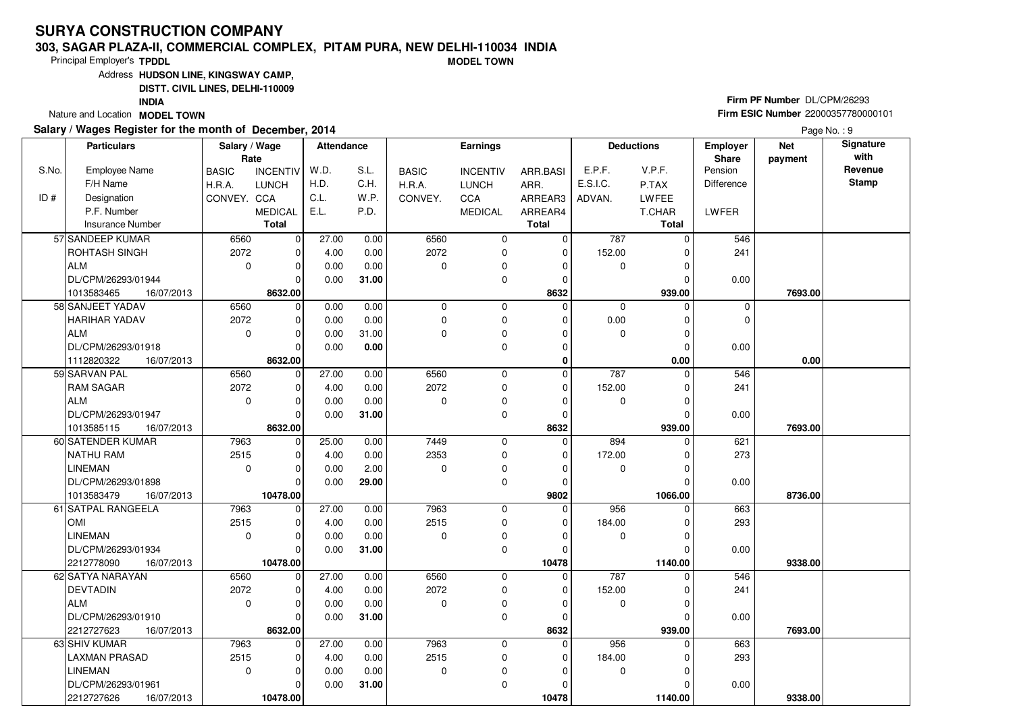#### **303, SAGAR PLAZA-II, COMMERCIAL COMPLEX, PITAM PURA, NEW DELHI-110034 INDIAMODEL TOWN**

Principal Employer's**TPDDL**

Address**HUDSON LINE, KINGSWAY CAMP,**

**DISTT. CIVIL LINES, DELHI-110009**

**INDIA**

Nature and Location **MODEL TOWN** 

### **Salary / Wages Register for the month of December, 2014**

# **Firm PF Number** DL/CPM/26293 **Firm ESIC Number** <sup>22000357780000101</sup>

|       | <b>Particulars</b>                             | Salary / Wage<br>Rate |                         | <b>Attendance</b> |              |              | <b>Earnings</b>            |                  |             | <b>Deductions</b> | Employer<br>Share | <b>Net</b><br>payment | Signature<br>with |
|-------|------------------------------------------------|-----------------------|-------------------------|-------------------|--------------|--------------|----------------------------|------------------|-------------|-------------------|-------------------|-----------------------|-------------------|
| S.No. | <b>Employee Name</b>                           | <b>BASIC</b>          | <b>INCENTIV</b>         | W.D.              | S.L.         | <b>BASIC</b> | <b>INCENTIV</b>            | ARR.BASI         | E.P.F.      | V.P.F.            | Pension           |                       | Revenue           |
|       | F/H Name                                       | H.R.A.                | <b>LUNCH</b>            | H.D.              | C.H.         | H.R.A.       | <b>LUNCH</b>               | ARR.             | E.S.I.C.    | P.TAX             | Difference        |                       | <b>Stamp</b>      |
| ID#   | Designation                                    | CONVEY. CCA           |                         | C.L.              | W.P.         | CONVEY.      | <b>CCA</b>                 | ARREAR3          | ADVAN.      | LWFEE             |                   |                       |                   |
|       | P.F. Number                                    |                       | <b>MEDICAL</b>          | E.L.              | P.D.         |              | <b>MEDICAL</b>             | ARREAR4          |             | T.CHAR            | <b>LWFER</b>      |                       |                   |
|       | <b>Insurance Number</b>                        |                       | <b>Total</b>            |                   |              |              |                            | <b>Total</b>     |             | <b>Total</b>      |                   |                       |                   |
|       | 57 SANDEEP KUMAR                               | 6560                  | $\overline{0}$          | 27.00             | 0.00         | 6560         | 0                          | $\mathbf 0$      | 787         | $\Omega$          | 546               |                       |                   |
|       | <b>ROHTASH SINGH</b>                           | 2072                  | $\mathbf 0$             | 4.00              | 0.00         | 2072         | $\mathbf 0$                | $\mathbf 0$      | 152.00      |                   | 241               |                       |                   |
|       | ALM                                            | $\mathbf 0$           | $\mathbf 0$             | 0.00              | 0.00         | $\Omega$     | 0                          | $\Omega$         | 0           | $\Omega$          |                   |                       |                   |
|       | DL/CPM/26293/01944                             |                       | $\Omega$                | 0.00              | 31.00        |              | $\mathbf 0$                | $\Omega$         |             |                   | 0.00              |                       |                   |
|       | 1013583465<br>16/07/2013                       |                       | 8632.00                 |                   |              |              |                            | 8632             |             | 939.00            |                   | 7693.00               |                   |
|       | 58 SANJEET YADAV                               | 6560                  | 0                       | 0.00              | 0.00         | $\mathbf 0$  | 0                          | $\Omega$         | $\mathbf 0$ | $\Omega$          | 0                 |                       |                   |
|       | <b>HARIHAR YADAV</b>                           | 2072                  | $\mathbf 0$             | 0.00              | 0.00         | $\Omega$     | $\mathbf 0$                | $\Omega$         | 0.00        | $\Omega$          | $\mathbf 0$       |                       |                   |
|       | <b>ALM</b>                                     | $\mathbf 0$           | $\mathbf 0$             | 0.00              | 31.00        | $\Omega$     | $\mathbf 0$                | $\Omega$         | $\mathbf 0$ | $\Omega$          |                   |                       |                   |
|       | DL/CPM/26293/01918                             |                       | $\Omega$                | 0.00              | 0.00         |              | $\Omega$                   | $\Omega$         |             | $\Omega$          | 0.00              |                       |                   |
|       | 16/07/2013<br>1112820322                       |                       | 8632.00                 |                   |              |              |                            | 0                |             | 0.00              |                   | 0.00                  |                   |
|       | 59 SARVAN PAL                                  | 6560                  | $\mathbf 0$             | 27.00             | 0.00         | 6560         | 0                          | 0                | 787         | $\Omega$          | 546               |                       |                   |
|       | <b>RAM SAGAR</b>                               | 2072                  | $\Omega$                | 4.00              | 0.00         | 2072         | $\mathbf 0$                | $\Omega$         | 152.00      |                   | 241               |                       |                   |
|       | ALM                                            | $\mathbf 0$           | $\mathbf 0$             | 0.00              | 0.00         | $\Omega$     | 0                          | $\mathbf 0$      | 0           | 0                 |                   |                       |                   |
|       | DL/CPM/26293/01947                             |                       | $\Omega$                | 0.00              | 31.00        |              | $\mathbf 0$                | $\mathbf 0$      |             |                   | 0.00              |                       |                   |
|       | 1013585115<br>16/07/2013                       |                       | 8632.00                 |                   |              |              |                            | 8632             |             | 939.00            |                   | 7693.00               |                   |
|       | 60 SATENDER KUMAR                              | 7963                  | $\mathbf 0$             | 25.00             | 0.00         | 7449         | $\mathbf 0$                | $\mathbf 0$      | 894         | $\Omega$          | 621               |                       |                   |
|       | NATHU RAM                                      | 2515                  | $\Omega$                | 4.00              | 0.00         | 2353         | $\mathbf 0$                | $\Omega$         | 172.00      |                   | 273               |                       |                   |
|       | <b>LINEMAN</b>                                 | $\mathbf 0$           | $\Omega$                | 0.00              | 2.00         | $\Omega$     | $\pmb{0}$                  | $\Omega$         | 0           |                   |                   |                       |                   |
|       | DL/CPM/26293/01898                             |                       | $\Omega$                | 0.00              | 29.00        |              | $\mathbf 0$                | $\mathbf 0$      |             |                   | 0.00              |                       |                   |
|       | 1013583479<br>16/07/2013<br>61 SATPAL RANGEELA |                       | 10478.00                |                   |              |              |                            | 9802<br>$\Omega$ | 956         | 1066.00           |                   | 8736.00               |                   |
|       | <b>OMI</b>                                     | 7963<br>2515          | $\mathbf 0$<br>$\Omega$ | 27.00<br>4.00     | 0.00<br>0.00 | 7963<br>2515 | $\mathbf 0$<br>$\mathbf 0$ | $\Omega$         | 184.00      |                   | 663<br>293        |                       |                   |
|       | LINEMAN                                        | $\Omega$              | $\mathbf 0$             |                   |              | $\Omega$     | $\mathbf 0$                | $\Omega$         | $\mathbf 0$ | U                 |                   |                       |                   |
|       | DL/CPM/26293/01934                             |                       | $\mathbf 0$             | 0.00<br>0.00      | 0.00         |              | 0                          | $\Omega$         |             |                   |                   |                       |                   |
|       |                                                |                       | 10478.00                |                   | 31.00        |              |                            | 10478            |             | 1140.00           | 0.00              | 9338.00               |                   |
|       | 2212778090<br>16/07/2013<br>62 SATYA NARAYAN   | 6560                  | 0                       | 27.00             | 0.00         | 6560         | $\mathbf 0$                | $\mathbf 0$      | 787         | 0                 | 546               |                       |                   |
|       | <b>DEVTADIN</b>                                | 2072                  | $\mathbf 0$             | 4.00              | 0.00         | 2072         | 0                          | $\Omega$         | 152.00      | $\Omega$          | 241               |                       |                   |
|       | <b>ALM</b>                                     | $\Omega$              | $\Omega$                | 0.00              | 0.00         | $\Omega$     | 0                          | $\Omega$         | 0           |                   |                   |                       |                   |
|       | DL/CPM/26293/01910                             |                       | $\Omega$                | 0.00              | 31.00        |              | 0                          | $\Omega$         |             | O                 | 0.00              |                       |                   |
|       | 2212727623<br>16/07/2013                       |                       | 8632.00                 |                   |              |              |                            | 8632             |             | 939.00            |                   | 7693.00               |                   |
|       | 63 SHIV KUMAR                                  | 7963                  | $\mathbf 0$             | 27.00             | 0.00         | 7963         | $\mathbf 0$                | 0                | 956         | 0                 | 663               |                       |                   |
|       | <b>LAXMAN PRASAD</b>                           | 2515                  | $\mathbf 0$             | 4.00              | 0.00         | 2515         | $\mathbf 0$                | $\Omega$         | 184.00      |                   | 293               |                       |                   |
|       | <b>LINEMAN</b>                                 | $\mathbf 0$           | $\mathbf 0$             | 0.00              | 0.00         | $\mathbf 0$  | 0                          | $\Omega$         | 0           | U                 |                   |                       |                   |
|       | DL/CPM/26293/01961                             |                       | $\Omega$                | 0.00              | 31.00        |              | $\mathbf 0$                | $\Omega$         |             |                   | 0.00              |                       |                   |
|       | 2212727626<br>16/07/2013                       |                       | 10478.00                |                   |              |              |                            | 10478            |             | 1140.00           |                   | 9338.00               |                   |
|       |                                                |                       |                         |                   |              |              |                            |                  |             |                   |                   |                       |                   |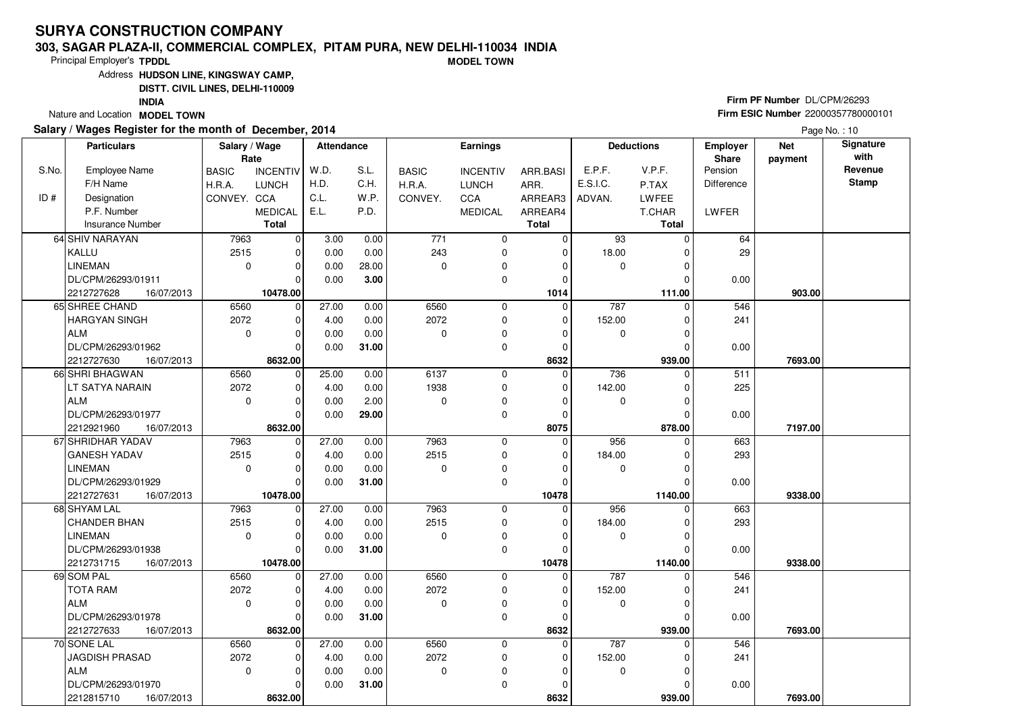#### **303, SAGAR PLAZA-II, COMMERCIAL COMPLEX, PITAM PURA, NEW DELHI-110034 INDIAMODEL TOWN**

Principal Employer's**TPDDL**

Address**HUDSON LINE, KINGSWAY CAMP,**

**DISTT. CIVIL LINES, DELHI-110009**

**INDIA**

Nature and Location **MODEL TOWN** 

#### **Salary / Wages Register for the month of December, 2014**

# **Firm PF Number** DL/CPM/26293 **Firm ESIC Number** <sup>22000357780000101</sup>

|       | <b>Particulars</b>                     | Salary / Wage | Rate                    | <b>Attendance</b> |       |              | <b>Earnings</b> |                      |                 | <b>Deductions</b> | Employer<br>Share | <b>Net</b><br>payment | Signature<br>with |
|-------|----------------------------------------|---------------|-------------------------|-------------------|-------|--------------|-----------------|----------------------|-----------------|-------------------|-------------------|-----------------------|-------------------|
| S.No. | <b>Employee Name</b>                   | <b>BASIC</b>  | <b>INCENTIV</b>         | W.D.              | S.L.  | <b>BASIC</b> | <b>INCENTIV</b> | ARR.BASI             | E.P.F.          | V.P.F.            | Pension           |                       | Revenue           |
|       | F/H Name                               | H.R.A.        | <b>LUNCH</b>            | H.D.              | C.H.  | H.R.A.       | <b>LUNCH</b>    | ARR.                 | E.S.I.C.        | P.TAX             | <b>Difference</b> |                       | <b>Stamp</b>      |
| ID#   | Designation                            | CONVEY, CCA   |                         | C.L.              | W.P.  | CONVEY.      | <b>CCA</b>      | ARREAR3              | ADVAN.          | LWFEE             |                   |                       |                   |
|       | P.F. Number                            |               | <b>MEDICAL</b>          | E.L.              | P.D.  |              | <b>MEDICAL</b>  | ARREAR4              |                 | T.CHAR            | LWFER             |                       |                   |
|       | <b>Insurance Number</b>                |               | Total                   |                   |       |              |                 | <b>Total</b>         |                 | <b>Total</b>      |                   |                       |                   |
|       | 64 SHIV NARAYAN                        | 7963          | 0                       | 3.00              | 0.00  | $771$        | $\mathbf 0$     | $\mathbf 0$          | $\overline{93}$ | $\Omega$          | 64                |                       |                   |
|       | KALLU                                  | 2515          | $\mathbf 0$             | 0.00              | 0.00  | 243          | $\mathbf 0$     | $\mathbf 0$          | 18.00           |                   | 29                |                       |                   |
|       | LINEMAN                                | $\mathbf 0$   | $\mathbf 0$             | 0.00              | 28.00 | $\mathbf 0$  | 0               | $\Omega$             | $\mathbf 0$     | $\Omega$          |                   |                       |                   |
|       | DL/CPM/26293/01911                     |               | $\Omega$                | 0.00              | 3.00  |              | $\mathbf 0$     | $\mathbf 0$          |                 |                   | 0.00              |                       |                   |
|       | 2212727628<br>16/07/2013               |               | 10478.00                |                   |       |              |                 | 1014                 |                 | 111.00            |                   | 903.00                |                   |
|       | 65 SHREE CHAND                         | 6560          | 0                       | 27.00             | 0.00  | 6560         | 0               | 0                    | 787             | $\Omega$          | 546               |                       |                   |
|       | HARGYAN SINGH                          | 2072          | $\mathbf 0$             | 4.00              | 0.00  | 2072         | $\mathbf 0$     | $\mathbf 0$          | 152.00          |                   | 241               |                       |                   |
|       | ALM                                    | $\mathbf 0$   | $\Omega$                | 0.00              | 0.00  | $\Omega$     | $\mathbf 0$     | $\Omega$             | 0               |                   |                   |                       |                   |
|       | DL/CPM/26293/01962                     |               | $\Omega$                | 0.00              | 31.00 |              | $\mathbf 0$     | $\Omega$             |                 | 0                 | 0.00              |                       |                   |
|       | 2212727630<br>16/07/2013               |               | 8632.00                 |                   |       |              |                 | 8632                 |                 | 939.00            |                   | 7693.00               |                   |
|       | 66 SHRI BHAGWAN                        | 6560          | $\mathbf 0$             | 25.00             | 0.00  | 6137         | 0               | $\mathbf 0$          | 736             | $\Omega$          | 511               |                       |                   |
|       | LT SATYA NARAIN                        | 2072          | $\mathbf 0$             | 4.00              | 0.00  | 1938         | $\mathbf 0$     | $\mathbf 0$          | 142.00          | 0                 | 225               |                       |                   |
|       | ALM                                    | $\mathbf 0$   | $\Omega$                | 0.00              | 2.00  | $\Omega$     | 0               | $\Omega$             | 0               | O                 |                   |                       |                   |
|       | DL/CPM/26293/01977                     |               | $\Omega$                | 0.00              | 29.00 |              | $\mathbf 0$     | $\mathbf 0$          |                 |                   | 0.00              |                       |                   |
|       | 2212921960<br>16/07/2013               |               | 8632.00                 |                   |       |              |                 | 8075                 |                 | 878.00            |                   | 7197.00               |                   |
|       | 67 SHRIDHAR YADAV                      | 7963          | 0                       | 27.00             | 0.00  | 7963         | $\overline{0}$  | $\Omega$             | 956             | $\Omega$          | 663               |                       |                   |
|       | <b>GANESH YADAV</b>                    | 2515          | $\mathbf 0$             | 4.00              | 0.00  | 2515         | $\mathbf 0$     | $\Omega$             | 184.00          |                   | 293               |                       |                   |
|       | <b>LINEMAN</b>                         | $\mathbf 0$   | $\mathbf 0$             | 0.00              | 0.00  | $\Omega$     | $\mathbf 0$     | $\Omega$             | 0               |                   |                   |                       |                   |
|       | DL/CPM/26293/01929                     |               | $\Omega$                | 0.00              | 31.00 |              | $\mathbf 0$     | $\Omega$             |                 |                   | 0.00              |                       |                   |
|       | 2212727631<br>16/07/2013               |               | 10478.00                |                   |       |              |                 | 10478                |                 | 1140.00           |                   | 9338.00               |                   |
|       | 68 SHYAM LAL                           | 7963          | 0                       | 27.00             | 0.00  | 7963         | 0               | $\mathbf 0$          | 956             | 0                 | 663               |                       |                   |
|       | <b>CHANDER BHAN</b>                    | 2515          | $\Omega$                | 4.00              | 0.00  | 2515         | 0               | 0                    | 184.00          |                   | 293               |                       |                   |
|       | <b>LINEMAN</b>                         | $\Omega$      | $\mathbf 0$             | 0.00              | 0.00  | $\Omega$     | $\mathbf 0$     | $\Omega$             | $\mathbf 0$     | O                 |                   |                       |                   |
|       | DL/CPM/26293/01938                     |               | $\Omega$                | 0.00              | 31.00 |              | $\Omega$        | $\Omega$             |                 |                   | 0.00              |                       |                   |
|       | 2212731715<br>16/07/2013<br>69 SOM PAL | 6560          | 10478.00<br>$\mathbf 0$ | 27.00             | 0.00  | 6560         | 0               | 10478<br>$\mathbf 0$ | 787             | 1140.00<br>0      | 546               | 9338.00               |                   |
|       | <b>TOTA RAM</b>                        | 2072          | $\mathbf 0$             | 4.00              | 0.00  | 2072         | $\mathbf 0$     | $\Omega$             | 152.00          |                   | 241               |                       |                   |
|       | l ALM                                  | $\Omega$      | $\Omega$                | 0.00              | 0.00  | $\Omega$     | 0               | $\Omega$             | $\mathbf 0$     | U                 |                   |                       |                   |
|       | DL/CPM/26293/01978                     |               | $\Omega$                | 0.00              | 31.00 |              | $\mathbf 0$     | $\mathbf 0$          |                 |                   | 0.00              |                       |                   |
|       | 2212727633<br>16/07/2013               |               | 8632.00                 |                   |       |              |                 | 8632                 |                 | 939.00            |                   | 7693.00               |                   |
|       | 70 SONE LAL                            | 6560          | $\mathbf 0$             | 27.00             | 0.00  | 6560         | $\mathbf 0$     | $\mathbf 0$          | 787             | O                 | 546               |                       |                   |
|       | JAGDISH PRASAD                         | 2072          | $\Omega$                | 4.00              | 0.00  | 2072         | 0               | $\Omega$             | 152.00          |                   | 241               |                       |                   |
|       | ALM                                    | $\Omega$      | $\Omega$                | 0.00              | 0.00  | $\mathbf 0$  | 0               | $\Omega$             | 0               | O                 |                   |                       |                   |
|       | DL/CPM/26293/01970                     |               | $\Omega$                | 0.00              | 31.00 |              | $\Omega$        | $\Omega$             |                 |                   | 0.00              |                       |                   |
|       | 2212815710<br>16/07/2013               |               | 8632.00                 |                   |       |              |                 | 8632                 |                 | 939.00            |                   | 7693.00               |                   |
|       |                                        |               |                         |                   |       |              |                 |                      |                 |                   |                   |                       |                   |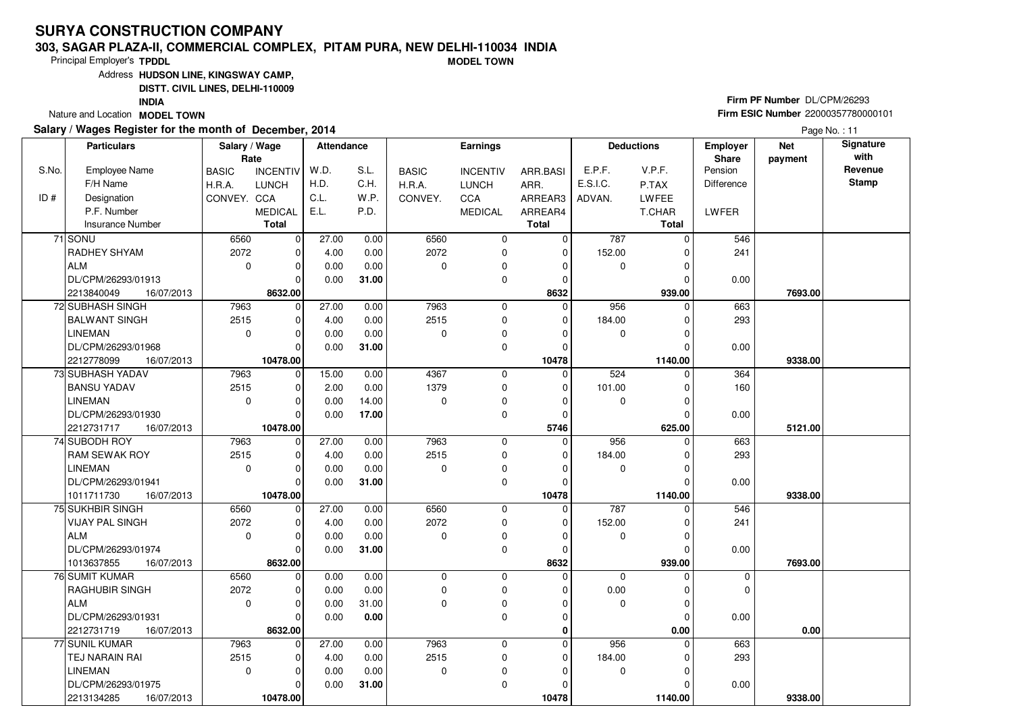#### **303, SAGAR PLAZA-II, COMMERCIAL COMPLEX, PITAM PURA, NEW DELHI-110034 INDIAMODEL TOWN**

Principal Employer's**TPDDL**

Address**HUDSON LINE, KINGSWAY CAMP,**

**DISTT. CIVIL LINES, DELHI-110009**

**INDIA**

Nature and Location **MODEL TOWN** 

#### **Salary / Wages Register for the month of December, 2014**

# **Firm PF Number** DL/CPM/26293 **Firm ESIC Number** <sup>22000357780000101</sup>

|       | <b>Particulars</b>                      | Salary / Wage<br>Rate |                        | <b>Attendance</b> |              |              | <b>Earnings</b>  |                  |             | <b>Deductions</b>  | Employer<br><b>Share</b>   | <b>Net</b><br>payment | Signature<br>with |
|-------|-----------------------------------------|-----------------------|------------------------|-------------------|--------------|--------------|------------------|------------------|-------------|--------------------|----------------------------|-----------------------|-------------------|
| S.No. | <b>Employee Name</b>                    | <b>BASIC</b>          | <b>INCENTIV</b>        | W.D.              | S.L.         | <b>BASIC</b> | <b>INCENTIV</b>  | ARR.BASI         | E.P.F.      | V.P.F.             | Pension                    |                       | Revenue           |
|       | F/H Name                                | H.R.A.                | <b>LUNCH</b>           | H.D.              | C.H.         | H.R.A.       | <b>LUNCH</b>     | ARR.             | E.S.I.C.    | P.TAX              | Difference                 |                       | <b>Stamp</b>      |
| ID#   | Designation                             | CONVEY. CCA           |                        | C.L.              | W.P.         | CONVEY.      | <b>CCA</b>       | ARREAR3          | ADVAN.      | <b>LWFEE</b>       |                            |                       |                   |
|       | P.F. Number                             |                       | <b>MEDICAL</b>         | E.L.              | P.D.         |              | <b>MEDICAL</b>   | ARREAR4          |             | T.CHAR             | LWFER                      |                       |                   |
|       | <b>Insurance Number</b>                 |                       | <b>Total</b>           |                   |              |              |                  | <b>Total</b>     |             | <b>Total</b>       |                            |                       |                   |
|       | 71 SONU                                 | 6560                  | $\mathbf 0$            | 27.00             | 0.00         | 6560         | 0                | $\overline{0}$   | 787         | $\Omega$           | 546                        |                       |                   |
|       | <b>RADHEY SHYAM</b>                     | 2072                  | $\mathbf 0$            | 4.00              | 0.00         | 2072         | 0                | $\mathbf 0$      | 152.00      | $\Omega$           | 241                        |                       |                   |
|       | ALM                                     | $\mathbf 0$           | $\Omega$               | 0.00              | 0.00         | $\Omega$     | 0                | $\Omega$         | $\mathbf 0$ | $\Omega$           |                            |                       |                   |
|       | DL/CPM/26293/01913                      |                       | $\Omega$               | 0.00              | 31.00        |              | 0                | $\Omega$         |             |                    | 0.00                       |                       |                   |
|       | 2213840049<br>16/07/2013                |                       | 8632.00                |                   |              |              |                  | 8632             |             | 939.00             |                            | 7693.00               |                   |
|       | 72 SUBHASH SINGH                        | 7963                  | $\mathbf 0$            | 27.00             | 0.00         | 7963         | 0                | $\Omega$         | 956         | $\Omega$           | 663                        |                       |                   |
|       | <b>BALWANT SINGH</b>                    | 2515                  | $\mathbf 0$            | 4.00              | 0.00         | 2515         | $\mathbf 0$      | 0                | 184.00      | $\Omega$           | 293                        |                       |                   |
|       | LINEMAN                                 | $\mathbf 0$           | $\Omega$               | 0.00              | 0.00         | $\Omega$     | 0                | $\Omega$         | $\mathbf 0$ | $\Omega$           |                            |                       |                   |
|       | DL/CPM/26293/01968                      |                       | $\Omega$               | 0.00              | 31.00        |              | 0                | $\Omega$         |             |                    | 0.00                       |                       |                   |
|       | 2212778099<br>16/07/2013                |                       | 10478.00               |                   |              |              |                  | 10478            |             | 1140.00            |                            | 9338.00               |                   |
|       | 73 SUBHASH YADAV                        | 7963                  | 0                      | 15.00             | 0.00         | 4367         | $\mathbf 0$      | $\mathbf 0$      | 524         | $\Omega$           | 364                        |                       |                   |
|       | <b>BANSU YADAV</b>                      | 2515                  | $\mathbf 0$            | 2.00              | 0.00         | 1379         | 0                | 0                | 101.00      | $\Omega$           | 160                        |                       |                   |
|       | LINEMAN                                 | $\mathbf 0$           | $\Omega$               | 0.00              | 14.00        | $\Omega$     | 0                | $\Omega$         | $\mathbf 0$ | $\Omega$           |                            |                       |                   |
|       | DL/CPM/26293/01930                      |                       | $\Omega$               | 0.00              | 17.00        |              | 0                | 0                |             |                    | 0.00                       |                       |                   |
|       | 2212731717<br>16/07/2013                |                       | 10478.00               |                   |              |              |                  | 5746             |             | 625.00             |                            | 5121.00               |                   |
|       | 74 SUBODH ROY                           | 7963                  | $\mathbf 0$            | 27.00             | 0.00         | 7963         | $\mathbf 0$      | $\Omega$         | 956         | $\Omega$           | 663                        |                       |                   |
|       | <b>RAM SEWAK ROY</b>                    | 2515                  | $\Omega$               | 4.00              | 0.00         | 2515         | 0                | $\Omega$         | 184.00      | $\Omega$           | 293                        |                       |                   |
|       | <b>LINEMAN</b>                          | $\Omega$              | $\Omega$               | 0.00              | 0.00         | $\Omega$     | 0                | $\Omega$         | 0           | O                  |                            |                       |                   |
|       | DL/CPM/26293/01941                      |                       | $\Omega$               | 0.00              | 31.00        |              | $\mathbf 0$      | $\Omega$         |             |                    | 0.00                       |                       |                   |
|       | 1011711730<br>16/07/2013                |                       | 10478.00               |                   |              |              |                  | 10478            |             | 1140.00            |                            | 9338.00               |                   |
|       | 75 SUKHBIR SINGH                        | 6560                  | $\mathbf 0$            | 27.00             | 0.00         | 6560         | $\mathbf 0$      | $\Omega$         | 787         |                    | 546                        |                       |                   |
|       | <b>VIJAY PAL SINGH</b>                  | 2072                  | $\mathbf 0$            | 4.00              | 0.00         | 2072         | 0                | $\Omega$         | 152.00      | $\Omega$           | 241                        |                       |                   |
|       | <b>ALM</b>                              | $\Omega$              | $\mathbf 0$            | 0.00              | 0.00         | $\Omega$     | 0                | $\Omega$         | $\mathbf 0$ | $\Omega$           |                            |                       |                   |
|       | DL/CPM/26293/01974                      |                       | $\Omega$               | 0.00              | 31.00        |              | 0                | $\Omega$         |             | $\Omega$           | 0.00                       |                       |                   |
|       | 1013637855<br>16/07/2013                | 6560                  | 8632.00<br>$\mathbf 0$ |                   |              | $\Omega$     |                  | 8632<br>$\Omega$ | $\Omega$    | 939.00<br>$\Omega$ |                            | 7693.00               |                   |
|       | 76 SUMIT KUMAR<br><b>RAGHUBIR SINGH</b> | 2072                  | $\mathbf 0$            | 0.00<br>0.00      | 0.00<br>0.00 | 0            | $\mathbf 0$<br>0 | $\Omega$         | 0.00        | $\Omega$           | $\mathbf 0$<br>$\mathbf 0$ |                       |                   |
|       | ALM                                     | $\Omega$              | $\Omega$               | 0.00              | 31.00        | $\Omega$     | $\mathbf 0$      | $\Omega$         | $\mathbf 0$ | $\Omega$           |                            |                       |                   |
|       | DL/CPM/26293/01931                      |                       | $\Omega$               | 0.00              | 0.00         |              | 0                | 0                |             | $\Omega$           | 0.00                       |                       |                   |
|       | 2212731719<br>16/07/2013                |                       | 8632.00                |                   |              |              |                  | 0                |             | 0.00               |                            | 0.00                  |                   |
|       | 77 SUNIL KUMAR                          | 7963                  | $\Omega$               | 27.00             | 0.00         | 7963         | $\mathbf 0$      | $\Omega$         | 956         | $\Omega$           | 663                        |                       |                   |
|       | <b>TEJ NARAIN RAI</b>                   | 2515                  | $\mathbf 0$            | 4.00              | 0.00         | 2515         | 0                | 0                | 184.00      |                    | 293                        |                       |                   |
|       | <b>LINEMAN</b>                          | $\mathbf 0$           | $\Omega$               | 0.00              | 0.00         | 0            | 0                | 0                | $\mathbf 0$ | $\Omega$           |                            |                       |                   |
|       | DL/CPM/26293/01975                      |                       | $\Omega$               | 0.00              | 31.00        |              | 0                | $\Omega$         |             |                    | 0.00                       |                       |                   |
|       | 2213134285<br>16/07/2013                |                       | 10478.00               |                   |              |              |                  | 10478            |             | 1140.00            |                            | 9338.00               |                   |
|       |                                         |                       |                        |                   |              |              |                  |                  |             |                    |                            |                       |                   |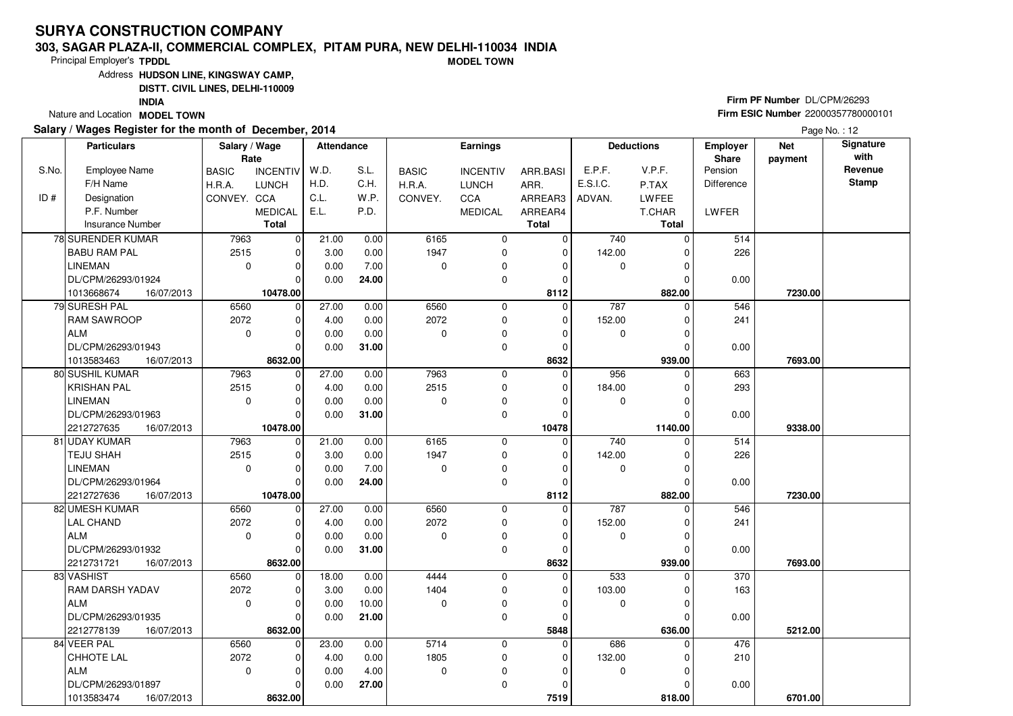#### **303, SAGAR PLAZA-II, COMMERCIAL COMPLEX, PITAM PURA, NEW DELHI-110034 INDIAMODEL TOWN**

Principal Employer's**TPDDL**

Address**HUDSON LINE, KINGSWAY CAMP,**

**DISTT. CIVIL LINES, DELHI-110009**

**INDIA**

Nature and Location **MODEL TOWN** 

#### **Salary / Wages Register for the month of December, 2014**

# **Firm PF Number** DL/CPM/26293 **Firm ESIC Number** <sup>22000357780000101</sup>

|       | <b>Particulars</b>       | Salary / Wage<br>Rate |                 | <b>Attendance</b> |       |              | <b>Earnings</b> |              |             | <b>Deductions</b> | Employer<br>Share | <b>Net</b><br>payment | Signature<br>with |
|-------|--------------------------|-----------------------|-----------------|-------------------|-------|--------------|-----------------|--------------|-------------|-------------------|-------------------|-----------------------|-------------------|
| S.No. | <b>Employee Name</b>     | <b>BASIC</b>          | <b>INCENTIV</b> | W.D.              | S.L.  | <b>BASIC</b> | <b>INCENTIV</b> | ARR.BASI     | E.P.F.      | V.P.F.            | Pension           |                       | Revenue           |
|       | F/H Name                 | H.R.A.                | <b>LUNCH</b>    | H.D.              | C.H.  | H.R.A.       | <b>LUNCH</b>    | ARR.         | E.S.I.C.    | P.TAX             | <b>Difference</b> |                       | <b>Stamp</b>      |
| ID#   | Designation              | CONVEY. CCA           |                 | C.L.              | W.P.  | CONVEY.      | <b>CCA</b>      | ARREAR3      | ADVAN.      | LWFEE             |                   |                       |                   |
|       | P.F. Number              |                       | <b>MEDICAL</b>  | E.L.              | P.D.  |              | <b>MEDICAL</b>  | ARREAR4      |             | T.CHAR            | LWFER             |                       |                   |
|       | <b>Insurance Number</b>  |                       | Total           |                   |       |              |                 | <b>Total</b> |             | <b>Total</b>      |                   |                       |                   |
|       | 78 SURENDER KUMAR        | 7963                  | 0               | 21.00             | 0.00  | 6165         | 0               | $\mathbf 0$  | 740         | $\Omega$          | 514               |                       |                   |
|       | <b>BABU RAM PAL</b>      | 2515                  | $\mathbf 0$     | 3.00              | 0.00  | 1947         | $\mathbf 0$     | $\mathbf 0$  | 142.00      |                   | 226               |                       |                   |
|       | <b>LINEMAN</b>           | $\mathbf 0$           | $\mathbf 0$     | 0.00              | 7.00  | $\Omega$     | 0               | $\Omega$     | 0           | $\Omega$          |                   |                       |                   |
|       | DL/CPM/26293/01924       |                       | $\Omega$        | 0.00              | 24.00 |              | $\mathbf 0$     | $\mathbf 0$  |             | $\Omega$          | 0.00              |                       |                   |
|       | 1013668674<br>16/07/2013 |                       | 10478.00        |                   |       |              |                 | 8112         |             | 882.00            |                   | 7230.00               |                   |
|       | 79 SURESH PAL            | 6560                  | 0               | 27.00             | 0.00  | 6560         | 0               | $\mathbf 0$  | 787         | $\Omega$          | 546               |                       |                   |
|       | <b>RAM SAWROOP</b>       | 2072                  | $\mathbf 0$     | 4.00              | 0.00  | 2072         | $\mathbf 0$     | $\mathbf 0$  | 152.00      |                   | 241               |                       |                   |
|       | ALM                      | $\mathbf 0$           | $\mathbf 0$     | 0.00              | 0.00  | $\Omega$     | $\mathbf 0$     | $\Omega$     | 0           |                   |                   |                       |                   |
|       | DL/CPM/26293/01943       |                       | $\Omega$        | 0.00              | 31.00 |              | $\mathbf 0$     | 0            |             | $\Omega$          | 0.00              |                       |                   |
|       | 1013583463<br>16/07/2013 |                       | 8632.00         |                   |       |              |                 | 8632         |             | 939.00            |                   | 7693.00               |                   |
|       | 80 SUSHIL KUMAR          | 7963                  | $\mathbf 0$     | 27.00             | 0.00  | 7963         | 0               | $\mathbf 0$  | 956         | $\Omega$          | 663               |                       |                   |
|       | <b>KRISHAN PAL</b>       | 2515                  | $\mathbf 0$     | 4.00              | 0.00  | 2515         | $\mathbf 0$     | $\mathbf 0$  | 184.00      |                   | 293               |                       |                   |
|       | LINEMAN                  | $\mathbf 0$           | $\Omega$        | 0.00              | 0.00  | $\Omega$     | 0               | $\Omega$     | 0           |                   |                   |                       |                   |
|       | DL/CPM/26293/01963       |                       | $\Omega$        | 0.00              | 31.00 |              | $\mathbf 0$     | $\mathbf 0$  |             |                   | 0.00              |                       |                   |
|       | 2212727635<br>16/07/2013 |                       | 10478.00        |                   |       |              |                 | 10478        |             | 1140.00           |                   | 9338.00               |                   |
|       | 81 UDAY KUMAR            | 7963                  | 0               | 21.00             | 0.00  | 6165         | 0               | $\Omega$     | 740         | $\Omega$          | 514               |                       |                   |
|       | TEJU SHAH                | 2515                  | $\mathbf 0$     | 3.00              | 0.00  | 1947         | $\mathbf 0$     | $\Omega$     | 142.00      |                   | 226               |                       |                   |
|       | <b>LINEMAN</b>           | $\mathbf 0$           | $\mathbf 0$     | 0.00              | 7.00  | $\Omega$     | $\mathbf 0$     | $\Omega$     | 0           |                   |                   |                       |                   |
|       | DL/CPM/26293/01964       |                       | $\Omega$        | 0.00              | 24.00 |              | $\mathbf 0$     | $\mathbf 0$  |             |                   | 0.00              |                       |                   |
|       | 2212727636<br>16/07/2013 |                       | 10478.00        |                   |       |              |                 | 8112         |             | 882.00            |                   | 7230.00               |                   |
|       | 82 UMESH KUMAR           | 6560                  | 0               | 27.00             | 0.00  | 6560         | 0               | 0            | 787         | 0                 | 546               |                       |                   |
|       | LAL CHAND                | 2072                  | $\mathbf 0$     | 4.00              | 0.00  | 2072         | $\mathbf 0$     | $\mathbf 0$  | 152.00      |                   | 241               |                       |                   |
|       | ALM                      | $\Omega$              | $\mathbf 0$     | 0.00              | 0.00  | $\Omega$     | $\mathbf 0$     | $\Omega$     | $\mathbf 0$ | $\Omega$          |                   |                       |                   |
|       | DL/CPM/26293/01932       |                       | $\Omega$        | 0.00              | 31.00 |              | $\mathbf 0$     | $\mathbf 0$  |             |                   | 0.00              |                       |                   |
|       | 2212731721<br>16/07/2013 |                       | 8632.00         |                   |       |              |                 | 8632         |             | 939.00            |                   | 7693.00               |                   |
|       | 83 VASHIST               | 6560                  | $\mathbf 0$     | 18.00             | 0.00  | 4444         | 0               | 0            | 533         | $\Omega$          | 370               |                       |                   |
|       | <b>RAM DARSH YADAV</b>   | 2072                  | $\mathbf 0$     | 3.00              | 0.00  | 1404         | $\mathbf 0$     | $\Omega$     | 103.00      |                   | 163               |                       |                   |
|       | l ALM                    | $\Omega$              | $\Omega$        | 0.00              | 10.00 | $\Omega$     | 0               | $\Omega$     | $\mathbf 0$ | U                 |                   |                       |                   |
|       | DL/CPM/26293/01935       |                       | $\Omega$        | 0.00              | 21.00 |              | $\mathbf 0$     | $\mathbf 0$  |             |                   | 0.00              |                       |                   |
|       | 2212778139<br>16/07/2013 |                       | 8632.00         |                   |       |              |                 | 5848         |             | 636.00            |                   | 5212.00               |                   |
|       | 84 VEER PAL              | 6560                  | $\mathbf 0$     | 23.00             | 0.00  | 5714         | $\mathbf 0$     | 0            | 686         | $\Omega$          | 476               |                       |                   |
|       | CHHOTE LAL               | 2072                  | 0               | 4.00              | 0.00  | 1805         | 0               | $\Omega$     | 132.00      |                   | 210               |                       |                   |
|       | ALM                      | $\Omega$              | $\mathbf 0$     | 0.00              | 4.00  | $\mathbf 0$  | 0               | $\Omega$     | 0           |                   |                   |                       |                   |
|       | DL/CPM/26293/01897       |                       | $\Omega$        | 0.00              | 27.00 |              | $\mathbf 0$     | $\Omega$     |             |                   | 0.00              |                       |                   |
|       | 1013583474<br>16/07/2013 |                       | 8632.00         |                   |       |              |                 | 7519         |             | 818.00            |                   | 6701.00               |                   |